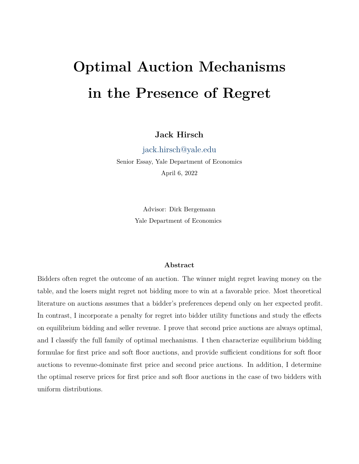# **Optimal Auction Mechanisms in the Presence of Regret**

**Jack Hirsch**

[jack.hirsch@yale.edu](mailto:jack.hirsch@yale.edu)

Senior Essay, Yale Department of Economics April 6, 2022

> Advisor: Dirk Bergemann Yale Department of Economics

# **Abstract**

Bidders often regret the outcome of an auction. The winner might regret leaving money on the table, and the losers might regret not bidding more to win at a favorable price. Most theoretical literature on auctions assumes that a bidder's preferences depend only on her expected profit. In contrast, I incorporate a penalty for regret into bidder utility functions and study the effects on equilibrium bidding and seller revenue. I prove that second price auctions are always optimal, and I classify the full family of optimal mechanisms. I then characterize equilibrium bidding formulae for first price and soft floor auctions, and provide sufficient conditions for soft floor auctions to revenue-dominate first price and second price auctions. In addition, I determine the optimal reserve prices for first price and soft floor auctions in the case of two bidders with uniform distributions.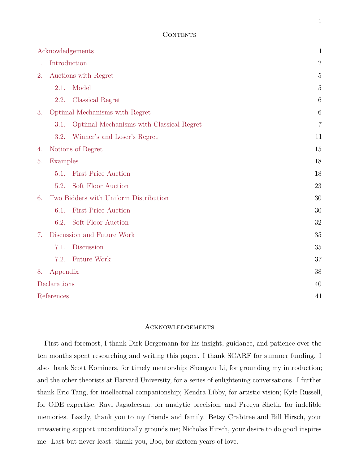#### CONTENTS

| Acknowledgements |                                       |                                          | $\mathbf{1}$   |
|------------------|---------------------------------------|------------------------------------------|----------------|
| 1.               |                                       | Introduction                             | $\overline{2}$ |
| 2.               | Auctions with Regret                  |                                          | 5              |
|                  | 2.1.                                  | Model                                    | 5              |
|                  | 2.2.                                  | <b>Classical Regret</b>                  | 6              |
| 3.               | Optimal Mechanisms with Regret        |                                          | 6              |
|                  | 3.1.                                  | Optimal Mechanisms with Classical Regret | 7              |
|                  | 3.2.                                  | Winner's and Loser's Regret              | 11             |
| 4.               |                                       | Notions of Regret                        | 15             |
| 5.               | Examples                              |                                          | 18             |
|                  | 5.1.                                  | <b>First Price Auction</b>               | 18             |
|                  | 5.2.                                  | Soft Floor Auction                       | 23             |
| 6.               | Two Bidders with Uniform Distribution |                                          | 30             |
|                  | 6.1.                                  | <b>First Price Auction</b>               | 30             |
|                  | 6.2.                                  | Soft Floor Auction                       | 32             |
| 7.               | Discussion and Future Work            |                                          | 35             |
|                  | 7.1.                                  | <b>Discussion</b>                        | 35             |
|                  | 7.2.                                  | <b>Future Work</b>                       | 37             |
| 8.               | Appendix                              |                                          | 38             |
| Declarations     |                                       |                                          | 40             |
| References       |                                       |                                          | 41             |

#### <span id="page-1-0"></span>Acknowledgements

First and foremost, I thank Dirk Bergemann for his insight, guidance, and patience over the ten months spent researching and writing this paper. I thank SCARF for summer funding. I also thank Scott Kominers, for timely mentorship; Shengwu Li, for grounding my introduction; and the other theorists at Harvard University, for a series of enlightening conversations. I further thank Eric Tang, for intellectual companionship; Kendra Libby, for artistic vision; Kyle Russell, for ODE expertise; Ravi Jagadeesan, for analytic precision; and Preeya Sheth, for indelible memories. Lastly, thank you to my friends and family. Betsy Crabtree and Bill Hirsch, your unwavering support unconditionally grounds me; Nicholas Hirsch, your desire to do good inspires me. Last but never least, thank you, Boo, for sixteen years of love.

1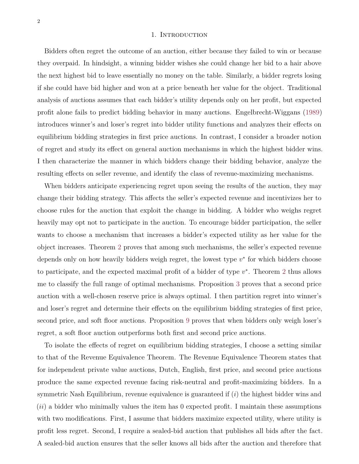#### 1. INTRODUCTION

<span id="page-2-0"></span>Bidders often regret the outcome of an auction, either because they failed to win or because they overpaid. In hindsight, a winning bidder wishes she could change her bid to a hair above the next highest bid to leave essentially no money on the table. Similarly, a bidder regrets losing if she could have bid higher and won at a price beneath her value for the object. Traditional analysis of auctions assumes that each bidder's utility depends only on her profit, but expected profit alone fails to predict bidding behavior in many auctions. Engelbrecht-Wiggans [\(1989\)](#page-41-1) introduces winner's and loser's regret into bidder utility functions and analyzes their effects on equilibrium bidding strategies in first price auctions. In contrast, I consider a broader notion of regret and study its effect on general auction mechanisms in which the highest bidder wins. I then characterize the manner in which bidders change their bidding behavior, analyze the resulting effects on seller revenue, and identify the class of revenue-maximizing mechanisms.

When bidders anticipate experiencing regret upon seeing the results of the auction, they may change their bidding strategy. This affects the seller's expected revenue and incentivizes her to choose rules for the auction that exploit the change in bidding. A bidder who weighs regret heavily may opt not to participate in the auction. To encourage bidder participation, the seller wants to choose a mechanism that increases a bidder's expected utility as her value for the object increases. Theorem [2](#page-9-0) proves that among such mechanisms, the seller's expected revenue depends only on how heavily bidders weigh regret, the lowest type  $v^*$  for which bidders choose to participate, and the expected maximal profit of a bidder of type  $v^*$ . Theorem [2](#page-9-0) thus allows me to classify the full range of optimal mechanisms. Proposition [3](#page-10-0) proves that a second price auction with a well-chosen reserve price is always optimal. I then partition regret into winner's and loser's regret and determine their effects on the equilibrium bidding strategies of first price, second price, and soft floor auctions. Proposition [9](#page-28-0) proves that when bidders only weigh loser's regret, a soft floor auction outperforms both first and second price auctions.

To isolate the effects of regret on equilibrium bidding strategies, I choose a setting similar to that of the Revenue Equivalence Theorem. The Revenue Equivalence Theorem states that for independent private value auctions, Dutch, English, first price, and second price auctions produce the same expected revenue facing risk-neutral and profit-maximizing bidders. In a symmetric Nash Equilibrium, revenue equivalence is guaranteed if (*i*) the highest bidder wins and (*ii*) a bidder who minimally values the item has 0 expected profit. I maintain these assumptions with two modifications. First, I assume that bidders maximize expected utility, where utility is profit less regret. Second, I require a sealed-bid auction that publishes all bids after the fact. A sealed-bid auction ensures that the seller knows all bids after the auction and therefore that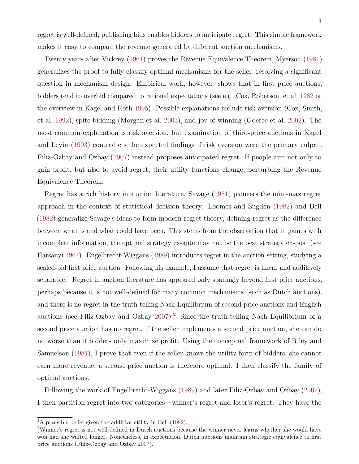regret is well-defined; publishing bids enables bidders to anticipate regret. This simple framework makes it easy to compare the revenue generated by different auction mechanisms.

Twenty years after Vickrey [\(1961\)](#page-43-0) proves the Revenue Equivalence Theorem, Myerson [\(1981\)](#page-43-1) generalizes the proof to fully classify optimal mechanisms for the seller, resolving a significant question in mechanism design. Empirical work, however, shows that in first price auctions, bidders tend to overbid compared to rational expectations (see e.g. Cox, Roberson, et al. [1982](#page-41-2) or the overview in Kagel and Roth [1995\)](#page-42-0). Possible explanations include risk aversion (Cox, Smith, et al. [1992\)](#page-41-3), spite bidding (Morgan et al. [2003\)](#page-43-2), and joy of winning (Goeree et al. [2002\)](#page-42-1). The most common explanation is risk aversion, but examination of third-price auctions in Kagel and Levin [\(1993\)](#page-42-2) contradicts the expected findings if risk aversion were the primary culprit. Filiz-Ozbay and Ozbay [\(2007\)](#page-41-4) instead proposes anticipated regret. If people aim not only to gain profit, but also to avoid regret, their utility functions change, perturbing the Revenue Equivalence Theorem.

Regret has a rich history in auction literature. Savage [\(1951\)](#page-43-3) pioneers the mini-max regret approach in the context of statistical decision theory. Loomes and Sugden [\(1982\)](#page-42-3) and Bell [\(1982\)](#page-41-5) generalize Savage's ideas to form modern regret theory, defining regret as the difference between what is and what could have been. This stems from the observation that in games with incomplete information, the optimal strategy ex-ante may not be the best strategy ex-post (see Harsanyi [1967\)](#page-42-4). Engelbrecht-Wiggans [\(1989\)](#page-41-1) introduces regret in the auction setting, studying a sealed-bid first price auction. Following his example, I assume that regret is linear and additively separable.<sup>1</sup> Regret in auction literature has appeared only sparingly beyond first price auctions, perhaps because it is not well-defined for many common mechanisms (such as Dutch auctions), and there is no regret in the truth-telling Nash Equilibrium of second price auctions and English auctions (see Filiz-Ozbay and Ozbay  $2007$ ).<sup>2</sup> Since the truth-telling Nash Equilibrium of a second price auction has no regret, if the seller implements a second price auction, she can do no worse than if bidders only maximize profit. Using the conceptual framework of Riley and Samuelson [\(1981\)](#page-43-4), I prove that even if the seller knows the utility form of bidders, she cannot earn more revenue; a second price auction is therefore optimal. I then classify the family of optimal auctions.

Following the work of Engelbrecht-Wiggans [\(1989\)](#page-41-1) and later Filiz-Ozbay and Ozbay [\(2007\)](#page-41-4), I then partition regret into two categories—winner's regret and loser's regret. They have the

 ${}^{1}$ A plausible belief given the additive utility in Bell [\(1982\)](#page-41-5).

<sup>2</sup>Winner's regret is not well-defined in Dutch auctions because the winner never learns whether she would have won had she waited longer. Nonetheless, in expectation, Dutch auctions maintain strategic equivalence to first price auctions (Filiz-Ozbay and Ozbay [2007\)](#page-41-4).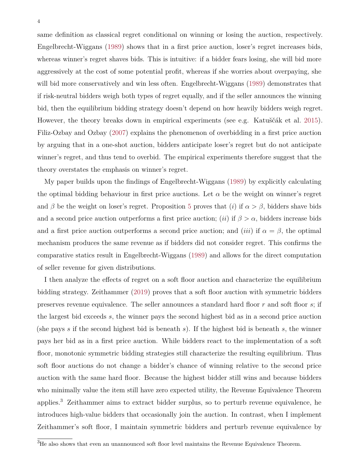4

same definition as classical regret conditional on winning or losing the auction, respectively. Engelbrecht-Wiggans [\(1989\)](#page-41-1) shows that in a first price auction, loser's regret increases bids, whereas winner's regret shaves bids. This is intuitive: if a bidder fears losing, she will bid more aggressively at the cost of some potential profit, whereas if she worries about overpaying, she will bid more conservatively and win less often. Engelbrecht-Wiggans  $(1989)$  demonstrates that if risk-neutral bidders weigh both types of regret equally, and if the seller announces the winning bid, then the equilibrium bidding strategy doesn't depend on how heavily bidders weigh regret. However, the theory breaks down in empirical experiments (see e.g. Katuščák et al. [2015\)](#page-42-5). Filiz-Ozbay and Ozbay [\(2007\)](#page-41-4) explains the phenomenon of overbidding in a first price auction by arguing that in a one-shot auction, bidders anticipate loser's regret but do not anticipate winner's regret, and thus tend to overbid. The empirical experiments therefore suggest that the theory overstates the emphasis on winner's regret.

My paper builds upon the findings of Engelbrecht-Wiggans [\(1989\)](#page-41-1) by explicitly calculating the optimal bidding behaviour in first price auctions. Let  $\alpha$  be the weight on winner's regret and  $\beta$  be the weight on loser's regret. Proposition [5](#page-22-0) proves that (*i*) if  $\alpha > \beta$ , bidders shave bids and a second price auction outperforms a first price auction; *(ii)* if  $\beta > \alpha$ , bidders increase bids and a first price auction outperforms a second price auction; and *(iii)* if  $\alpha = \beta$ , the optimal mechanism produces the same revenue as if bidders did not consider regret. This confirms the comparative statics result in Engelbrecht-Wiggans [\(1989\)](#page-41-1) and allows for the direct computation of seller revenue for given distributions.

I then analyze the effects of regret on a soft floor auction and characterize the equilibrium bidding strategy. Zeithammer [\(2019\)](#page-44-0) proves that a soft floor auction with symmetric bidders preserves revenue equivalence. The seller announces a standard hard floor *r* and soft floor *s*; if the largest bid exceeds *s*, the winner pays the second highest bid as in a second price auction (she pays *s* if the second highest bid is beneath *s*). If the highest bid is beneath *s*, the winner pays her bid as in a first price auction. While bidders react to the implementation of a soft floor, monotonic symmetric bidding strategies still characterize the resulting equilibrium. Thus soft floor auctions do not change a bidder's chance of winning relative to the second price auction with the same hard floor. Because the highest bidder still wins and because bidders who minimally value the item still have zero expected utility, the Revenue Equivalence Theorem applies.<sup>3</sup> Zeithammer aims to extract bidder surplus, so to perturb revenue equivalence, he introduces high-value bidders that occasionally join the auction. In contrast, when I implement Zeithammer's soft floor, I maintain symmetric bidders and perturb revenue equivalence by

<sup>&</sup>lt;sup>3</sup>He also shows that even an unannounced soft floor level maintains the Revenue Equivalence Theorem.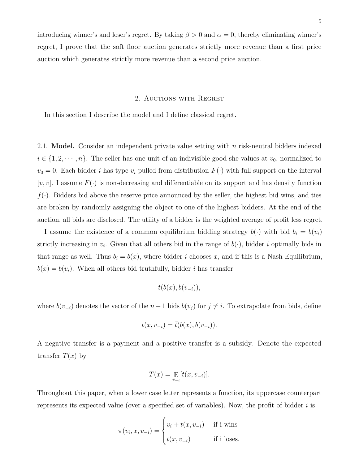introducing winner's and loser's regret. By taking  $\beta > 0$  and  $\alpha = 0$ , thereby eliminating winner's regret, I prove that the soft floor auction generates strictly more revenue than a first price auction which generates strictly more revenue than a second price auction.

#### 2. Auctions with Regret

<span id="page-5-0"></span>In this section I describe the model and I define classical regret.

<span id="page-5-1"></span>2.1. **Model.** Consider an independent private value setting with *n* risk-neutral bidders indexed  $i \in \{1, 2, \dots, n\}$ . The seller has one unit of an indivisible good she values at  $v_0$ , normalized to  $v_0 = 0$ . Each bidder *i* has type  $v_i$  pulled from distribution  $F(\cdot)$  with full support on the interval  $[\underline{v}, \overline{v}]$ . I assume  $F(\cdot)$  is non-decreasing and differentiable on its support and has density function  $f(\cdot)$ . Bidders bid above the reserve price announced by the seller, the highest bid wins, and ties are broken by randomly assigning the object to one of the highest bidders. At the end of the auction, all bids are disclosed. The utility of a bidder is the weighted average of profit less regret.

I assume the existence of a common equilibrium bidding strategy  $b(\cdot)$  with bid  $b_i = b(v_i)$ strictly increasing in  $v_i$ . Given that all others bid in the range of  $b(\cdot)$ , bidder *i* optimally bids in that range as well. Thus  $b_i = b(x)$ , where bidder *i* chooses *x*, and if this is a Nash Equilibrium,  $b(x) = b(v_i)$ . When all others bid truthfully, bidder *i* has transfer

$$
\bar{t}(b(x),b(v_{-i})),
$$

where  $b(v_{-i})$  denotes the vector of the  $n-1$  bids  $b(v_j)$  for  $j \neq i$ . To extrapolate from bids, define

$$
t(x, v_{-i}) = \bar{t}(b(x), b(v_{-i})).
$$

A negative transfer is a payment and a positive transfer is a subsidy. Denote the expected transfer  $T(x)$  by

$$
T(x) = \mathop{\mathbb{E}}_{v_{-i}}[t(x, v_{-i})].
$$

Throughout this paper, when a lower case letter represents a function, its uppercase counterpart represents its expected value (over a specified set of variables). Now, the profit of bidder *i* is

$$
\pi(v_i, x, v_{-i}) = \begin{cases} v_i + t(x, v_{-i}) & \text{if } i \text{ wins} \\ t(x, v_{-i}) & \text{if } i \text{ loses.} \end{cases}
$$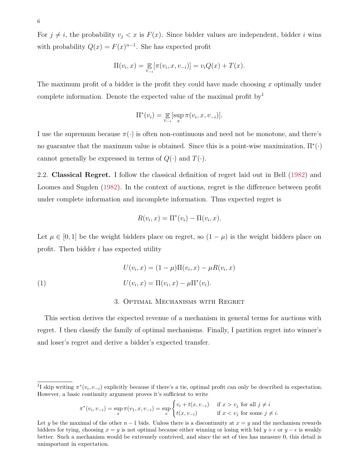For  $j \neq i$ , the probability  $v_j < x$  is  $F(x)$ . Since bidder values are independent, bidder *i* wins with probability  $Q(x) = F(x)^{n-1}$ . She has expected profit

$$
\Pi(v_i, x) = \mathop{\mathbb{E}}_{v_{-i}}[\pi(v_i, x, v_{-i})] = v_i Q(x) + T(x).
$$

The maximum profit of a bidder is the profit they could have made choosing *x* optimally under complete information. Denote the expected value of the maximal profit by  $\mu$ 

$$
\Pi^*(v_i) = \mathop{\mathbb{E}}_{v_{-i}}[\sup_x \pi(v_i, x, v_{-i})].
$$

I use the supremum because  $\pi(\cdot)$  is often non-continuous and need not be monotone, and there's no guarantee that the maximum value is obtained. Since this is a point-wise maximization,  $\Pi^*(\cdot)$ cannot generally be expressed in terms of  $Q(\cdot)$  and  $T(\cdot)$ .

<span id="page-6-0"></span>2.2. **Classical Regret.** I follow the classical definition of regret laid out in Bell [\(1982\)](#page-41-5) and Loomes and Sugden [\(1982\)](#page-42-3). In the context of auctions, regret is the difference between profit under complete information and incomplete information. Thus expected regret is

$$
R(v_i, x) = \Pi^*(v_i) - \Pi(v_i, x).
$$

Let  $\mu \in [0,1]$  be the weight bidders place on regret, so  $(1 - \mu)$  is the weight bidders place on profit. Then bidder *i* has expected utility

<span id="page-6-2"></span>(1) 
$$
U(v_i, x) = (1 - \mu) \Pi(v_i, x) - \mu R(v_i, x)
$$

$$
U(v_i, x) = \Pi(v_i, x) - \mu \Pi^*(v_i).
$$

#### 3. Optimal Mechanisms with Regret

<span id="page-6-1"></span>This section derives the expected revenue of a mechanism in general terms for auctions with regret. I then classify the family of optimal mechanisms. Finally, I partition regret into winner's and loser's regret and derive a bidder's expected transfer.

$$
\pi^*(v_i, v_{-i}) = \sup_x \pi(v_1, x, v_{-i}) = \sup_x \begin{cases} v_i + t(x, v_{-i}) & \text{if } x > v_j \text{ for all } j \neq i \\ t(x, v_{-i}) & \text{if } x < v_j \text{ for some } j \neq i. \end{cases}
$$

<sup>&</sup>lt;sup>1</sup>I skip writing  $\pi^*(v_i, v_{-i})$  explicitly because if there's a tie, optimal profit can only be described in expectation. However, a basic continuity argument proves it's sufficient to write

Let *y* be the maximal of the other  $n-1$  bids. Unless there is a discontinuity at  $x = y$  and the mechanism rewards bidders for tying, choosing  $x = y$  is not optimal because either winning or losing with bid  $y + \epsilon$  or  $y - \epsilon$  is weakly better. Such a mechanism would be extremely contrived, and since the set of ties has measure 0, this detail is unimportant in expectation.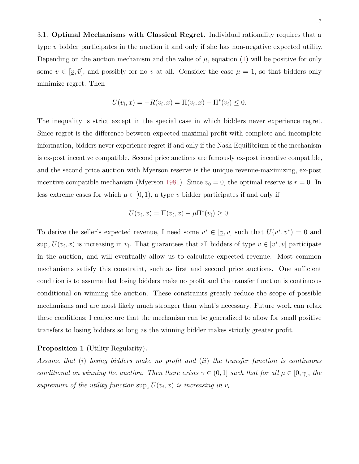<span id="page-7-0"></span>3.1. **Optimal Mechanisms with Classical Regret.** Individual rationality requires that a type *v* bidder participates in the auction if and only if she has non-negative expected utility. Depending on the auction mechanism and the value of  $\mu$ , equation [\(1\)](#page-6-2) will be positive for only some  $v \in [\underline{v}, \overline{v}]$ , and possibly for no *v* at all. Consider the case  $\mu = 1$ , so that bidders only minimize regret. Then

$$
U(v_i, x) = -R(v_i, x) = \Pi(v_i, x) - \Pi^*(v_i) \le 0.
$$

The inequality is strict except in the special case in which bidders never experience regret. Since regret is the difference between expected maximal profit with complete and incomplete information, bidders never experience regret if and only if the Nash Equilibrium of the mechanism is ex-post incentive compatible. Second price auctions are famously ex-post incentive compatible, and the second price auction with Myerson reserve is the unique revenue-maximizing, ex-post incentive compatible mechanism (Myerson [1981\)](#page-43-1). Since  $v_0 = 0$ , the optimal reserve is  $r = 0$ . In less extreme cases for which  $\mu \in [0, 1)$ , a type *v* bidder participates if and only if

$$
U(v_i, x) = \Pi(v_i, x) - \mu \Pi^*(v_i) \ge 0.
$$

To derive the seller's expected revenue, I need some  $v^* \in [\underline{v}, \overline{v}]$  such that  $U(v^*, v^*) = 0$  and  $\sup_x U(v_i, x)$  is increasing in  $v_i$ . That guarantees that all bidders of type  $v \in [v^*, \bar{v}]$  participate in the auction, and will eventually allow us to calculate expected revenue. Most common mechanisms satisfy this constraint, such as first and second price auctions. One sufficient condition is to assume that losing bidders make no profit and the transfer function is continuous conditional on winning the auction. These constraints greatly reduce the scope of possible mechanisms and are most likely much stronger than what's necessary. Future work can relax these conditions; I conjecture that the mechanism can be generalized to allow for small positive transfers to losing bidders so long as the winning bidder makes strictly greater profit.

#### <span id="page-7-1"></span>**Proposition 1** (Utility Regularity)**.**

*Assume that* (*i*) *losing bidders make no profit and* (*ii*) *the transfer function is continuous conditional on winning the auction. Then there exists*  $\gamma \in (0,1]$  *such that for all*  $\mu \in [0,\gamma]$ *, the* supremum of the utility function  $\sup_x U(v_i, x)$  is increasing in  $v_i$ .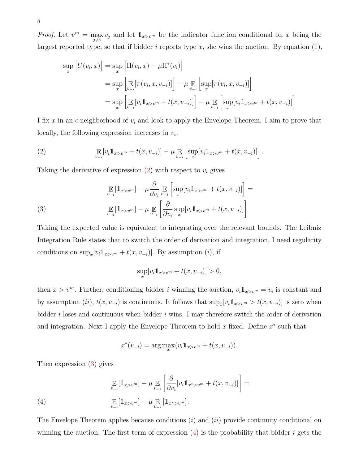*Proof.* Let  $v^m = \max_{j \neq i} v_j$  and let  $1_{x>v^m}$  be the indicator function conditional on *x* being the largest reported type, so that if bidder  $i$  reports type  $x$ , she wins the auction. By equation  $(1)$ ,

$$
\sup_{x} [U(v_i, x)] = \sup_{x} \left[ \Pi(v_i, x) - \mu \Pi^*(v_i) \right]
$$
  
\n
$$
= \sup_{x} \left[ \mathbb{E} \left[ \pi(v_i, x, v_{-i}) \right] \right] - \mu \mathbb{E} \left[ \sup_{v_{-i}} [\pi(v_i, x, v_{-i})] \right]
$$
  
\n
$$
= \sup_{x} \left[ \mathbb{E} \left[ v_i \mathbb{1}_{x > v^m} + t(x, v_{-i}) \right] \right] - \mu \mathbb{E} \left[ \sup_{v_{-i}} [v_i \mathbb{1}_{x > v^m} + t(x, v_{-i})] \right]
$$

I fix  $x$  in an  $\epsilon$ -neighborhood of  $v_i$  and look to apply the Envelope Theorem. I aim to prove that locally, the following expression increases in *v<sup>i</sup>* .

<span id="page-8-0"></span>(2) 
$$
\mathop{\mathbb{E}}_{v_{-i}}[v_i 1\!\!1_{x>v^m} + t(x, v_{-i})] - \mu \mathop{\mathbb{E}}_{v_{-i}}\left[\sup_v[v_i 1\!\!1_{x>v^m} + t(x, v_{-i})]\right].
$$

Taking the derivative of expression  $(2)$  with respect to  $v_i$  gives

<span id="page-8-1"></span>(3) 
$$
\mathop{\mathbb{E}}_{v_{-i}}[\mathbb{1}_{x>v^m}] - \mu \frac{\partial}{\partial v_i} \mathop{\mathbb{E}}_{v_{-i}}\left[\sup_x[v_i \mathbb{1}_{x>v^m} + t(x, v_{-i})]\right] = \mathop{\mathbb{E}}_{v_{-i}}[\mathbb{1}_{x>v^m}] - \mu \mathop{\mathbb{E}}_{v_{-i}}\left[\frac{\partial}{\partial v_i} \sup_x[v_i \mathbb{1}_{x>v^m} + t(x, v_{-i})]\right]
$$

Taking the expected value is equivalent to integrating over the relevant bounds. The Leibniz Integration Rule states that to switch the order of derivation and integration, I need regularity conditions on  $\sup_x [v_i 1_{x \geq v^m} + t(x, v_{-i})]$ . By assumption (*i*), if

$$
\sup_x[v_i 1\hspace{-0.098cm}1_{x>v^m} + t(x, v_{-i})] > 0,
$$

then  $x > v<sup>m</sup>$ . Further, conditioning bidder *i* winning the auction,  $v_i \mathbb{1}_{x>v^m} = v_i$  is constant and by assumption  $(ii)$ ,  $t(x, v_{-i})$  is continuous. It follows that  $\sup_x[v_i 1_{x>v^m} > t(x, v_{-i})]$  is zero when bidder *i* loses and continuous when bidder *i* wins. I may therefore switch the order of derivation and integration. Next I apply the Envelope Theorem to hold  $x$  fixed. Define  $x^*$  such that

$$
x^*(v_{-i}) = \arg\max_x (v_i 1_{x > v^m} + t(x, v_{-i})).
$$

Then expression [\(3\)](#page-8-1) gives

<span id="page-8-2"></span>
$$
\mathop{\mathbb{E}}_{v_{-i}}[\mathbb{1}_{x>v^m}] - \mu \mathop{\mathbb{E}}_{v_{-i}}\left[\frac{\partial}{\partial v_i}[v_i \mathbb{1}_{x^* > v^m} + t(x, v_{-i})]\right] =
$$
\n
$$
\mathop{\mathbb{E}}_{v_{-i}}[\mathbb{1}_{x>v^m}] - \mu \mathop{\mathbb{E}}_{v_{-i}}[\mathbb{1}_{x^* > v^m}].
$$

The Envelope Theorem applies because conditions (*i*) and (*ii*) provide continuity conditional on winning the auction. The first term of expression [\(4\)](#page-8-2) is the probability that bidder *i* gets the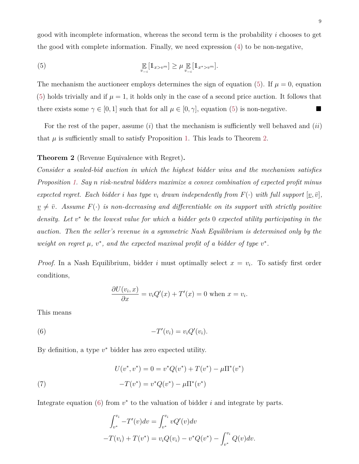good with incomplete information, whereas the second term is the probability *i* chooses to get the good with complete information. Finally, we need expression [\(4\)](#page-8-2) to be non-negative,

<span id="page-9-1"></span>(5) 
$$
\mathop{\mathbb{E}}_{v_{-i}}[\mathbb{1}_{x>v^m}] \geq \mu \mathop{\mathbb{E}}_{v_{-i}}[\mathbb{1}_{x^* > v^m}].
$$

The mechanism the auctioneer employs determines the sign of equation [\(5\)](#page-9-1). If  $\mu = 0$ , equation [\(5\)](#page-9-1) holds trivially and if  $\mu = 1$ , it holds only in the case of a second price auction. It follows that there exists some  $\gamma \in [0, 1]$  such that for all  $\mu \in [0, \gamma]$ , equation [\(5\)](#page-9-1) is non-negative.

For the rest of the paper, assume (*i*) that the mechanism is sufficiently well behaved and (*ii*) that  $\mu$  is sufficiently small to satisfy Proposition [1.](#page-7-1) This leads to Theorem [2.](#page-9-0)

# <span id="page-9-0"></span>**Theorem 2** (Revenue Equivalence with Regret)**.**

*Consider a sealed-bid auction in which the highest bidder wins and the mechanism satisfies Proposition [1.](#page-7-1) Say n risk-neutral bidders maximize a convex combination of expected profit minus expected regret. Each bidder i* has type  $v_i$  drawn independently from  $F(\cdot)$  with full support  $[v, \bar{v}]$ ,  $\nu \neq \overline{\nu}$ . Assume  $F(\cdot)$  *is non-decreasing and differentiable on its support with strictly positive density. Let v* ∗ *be the lowest value for which a bidder gets* 0 *expected utility participating in the auction. Then the seller's revenue in a symmetric Nash Equilibrium is determined only by the weight on regret*  $\mu$ ,  $v^*$ , and the expected maximal profit of a bidder of type  $v^*$ .

*Proof.* In a Nash Equilibrium, bidder *i* must optimally select  $x = v_i$ . To satisfy first order conditions,

$$
\frac{\partial U(v_i, x)}{\partial x} = v_i Q'(x) + T'(x) = 0 \text{ when } x = v_i.
$$

<span id="page-9-2"></span>This means

$$
(6) \qquad \qquad -T'(v_i) = v_i Q'(v_i).
$$

By definition, a type *v* <sup>∗</sup> bidder has zero expected utility.

<span id="page-9-3"></span>(7) 
$$
U(v^*, v^*) = 0 = v^*Q(v^*) + T(v^*) - \mu \Pi^*(v^*)
$$

$$
-T(v^*) = v^*Q(v^*) - \mu \Pi^*(v^*)
$$

Integrate equation  $(6)$  from  $v^*$  to the valuation of bidder *i* and integrate by parts.

$$
\int_{v^*}^{v_i} -T'(v)dv = \int_{v^*}^{v_i} vQ'(v)dv
$$
  
-T(v<sub>i</sub>) + T(v<sup>\*</sup>) = v<sub>i</sub>Q(v<sub>i</sub>) - v<sup>\*</sup>Q(v<sup>\*</sup>) -  $\int_{v^*}^{v_i} Q(v)dv$ .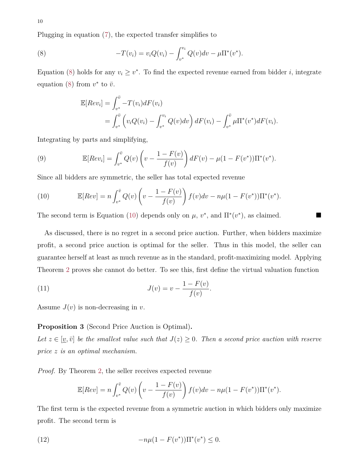Plugging in equation [\(7\)](#page-9-3), the expected transfer simplifies to

<span id="page-10-1"></span>(8) 
$$
-T(v_i) = v_i Q(v_i) - \int_{v^*}^{v_i} Q(v) dv - \mu \Pi^*(v^*).
$$

Equation [\(8\)](#page-10-1) holds for any  $v_i \geq v^*$ . To find the expected revenue earned from bidder *i*, integrate equation [\(8\)](#page-10-1) from  $v^*$  to  $\bar{v}$ .

$$
\mathbb{E}[Rev_i] = \int_{v^*}^{\bar{v}} -T(v_i) dF(v_i)
$$
  
= 
$$
\int_{v^*}^{\bar{v}} \left( v_i Q(v_i) - \int_{v^*}^{v_i} Q(v) dv \right) dF(v_i) - \int_{v^*}^{\bar{v}} \mu \Pi^*(v^*) dF(v_i).
$$

Integrating by parts and simplifying,

(9) 
$$
\mathbb{E}[Rev_i] = \int_{v^*}^{\bar{v}} Q(v) \left( v - \frac{1 - F(v)}{f(v)} \right) dF(v) - \mu (1 - F(v^*)) \Pi^*(v^*).
$$

Since all bidders are symmetric, the seller has total expected revenue

<span id="page-10-2"></span>(10) 
$$
\mathbb{E}[Rev] = n \int_{v^*}^{\bar{v}} Q(v) \left( v - \frac{1 - F(v)}{f(v)} \right) f(v) dv - n\mu (1 - F(v^*)) \Pi^*(v^*).
$$

The second term is Equation [\(10\)](#page-10-2) depends only on  $\mu$ ,  $v^*$ , and  $\Pi^*(v^*)$ , as claimed.

As discussed, there is no regret in a second price auction. Further, when bidders maximize profit, a second price auction is optimal for the seller. Thus in this model, the seller can guarantee herself at least as much revenue as in the standard, profit-maximizing model. Applying Theorem [2](#page-9-0) proves she cannot do better. To see this, first define the virtual valuation function

(11) 
$$
J(v) = v - \frac{1 - F(v)}{f(v)}.
$$

<span id="page-10-0"></span>Assume  $J(v)$  is non-decreasing in *v*.

#### **Proposition 3** (Second Price Auction is Optimal)**.**

*Let*  $z \in [\underline{v}, \overline{v}]$  *be the smallest value such that*  $J(z) \geq 0$ *. Then a second price auction with reserve price z is an optimal mechanism.*

*Proof.* By Theorem [2,](#page-9-0) the seller receives expected revenue

$$
\mathbb{E}[Rev] = n \int_{v^*}^{\bar{v}} Q(v) \left( v - \frac{1 - F(v)}{f(v)} \right) f(v) dv - n\mu (1 - F(v^*)) \Pi^*(v^*).
$$

The first term is the expected revenue from a symmetric auction in which bidders only maximize profit. The second term is

<span id="page-10-3"></span>(12) 
$$
-n\mu(1 - F(v^*))\Pi^*(v^*) \leq 0.
$$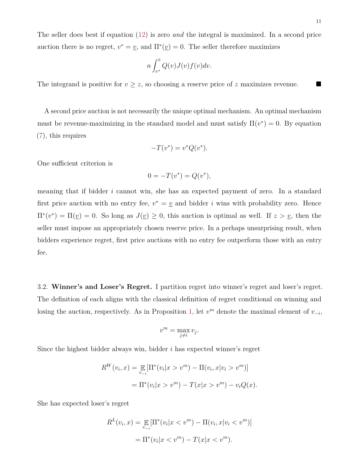11

The seller does best if equation [\(12\)](#page-10-3) is zero *and* the integral is maximized. In a second price auction there is no regret,  $v^* = v$ , and  $\Pi^*(v) = 0$ . The seller therefore maximizes

$$
n\int_{v^*}^{\bar{v}} Q(v)J(v)f(v)dv.
$$

The integrand is positive for  $v \geq z$ , so choosing a reserve price of *z* maximizes revenue.

A second price auction is not necessarily the unique optimal mechanism. An optimal mechanism must be revenue-maximizing in the standard model and must satisfy  $\Pi(v^*) = 0$ . By equation [\(7\)](#page-9-3), this requires

$$
-T(v^*) = v^*Q(v^*).
$$

One sufficient criterion is

$$
0 = -T(v^*) = Q(v^*),
$$

meaning that if bidder *i* cannot win, she has an expected payment of zero. In a standard first price auction with no entry fee,  $v^* = v$  and bidder *i* wins with probability zero. Hence  $\Pi^*(v^*) = \Pi(\underline{v}) = 0$ . So long as  $J(\underline{v}) \geq 0$ , this auction is optimal as well. If  $z > \underline{v}$ , then the seller must impose an appropriately chosen reserve price. In a perhaps unsurprising result, when bidders experience regret, first price auctions with no entry fee outperform those with an entry fee.

<span id="page-11-0"></span>3.2. **Winner's and Loser's Regret.** I partition regret into winner's regret and loser's regret. The definition of each aligns with the classical definition of regret conditional on winning and losing the auction, respectively. As in Proposition [1,](#page-7-1) let  $v^m$  denote the maximal element of  $v_{-i}$ ,

$$
v^m = \max_{j \neq i} v_j.
$$

Since the highest bidder always win, bidder *i* has expected winner's regret

$$
R^{W}(v_{i}, x) = \mathop{\mathbb{E}}_{v_{-i}}[\Pi^{*}(v_{i}|x > v^{m}) - \Pi(v_{i}, x|v_{i} > v^{m})]
$$
  
=  $\Pi^{*}(v_{i}|x > v^{m}) - T(x|x > v^{m}) - v_{i}Q(x).$ 

She has expected loser's regret

$$
R^{L}(v_{i}, x) = \mathop{\mathbb{E}}_{v_{-i}}[\Pi^{*}(v_{i}|x < v^{m}) - \Pi(v_{i}, x|v_{i} < v^{m})]
$$
  
=  $\Pi^{*}(v_{i}|x < v^{m}) - T(x|x < v^{m}).$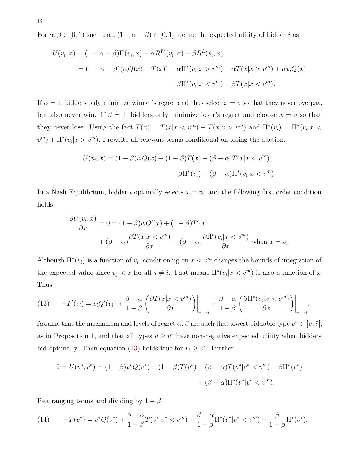For  $\alpha, \beta \in [0, 1)$  such that  $(1 - \alpha - \beta) \in [0, 1]$ , define the expected utility of bidder *i* as

$$
U(v_i, x) = (1 - \alpha - \beta)\Pi(v_i, x) - \alpha R^W(v_i, x) - \beta R^L(v_i, x)
$$
  
= 
$$
(1 - \alpha - \beta)(v_i Q(x) + T(x)) - \alpha \Pi^*(v_i | x > v^m) + \alpha T(x | x > v^m) + \alpha v_i Q(x)
$$
  

$$
-\beta \Pi^*(v_i | x < v^m) + \beta T(x | x < v^m).
$$

If  $\alpha = 1$ , bidders only minimize winner's regret and thus select  $x = y$  so that they never overpay, but also never win. If  $\beta = 1$ , bidders only minimize loser's regret and choose  $x = \bar{v}$  so that they never lose. Using the fact  $T(x) = T(x|x < v<sup>m</sup>) + T(x|x > v<sup>m</sup>)$  and  $\Pi^*(v_i) = \Pi^*(v_i|x < v_i)$  $v^m$ ) +  $\prod^* (v_i | x > v^m)$ , I rewrite all relevant terms conditional on losing the auction.

$$
U(v_i, x) = (1 - \beta)v_iQ(x) + (1 - \beta)T(x) + (\beta - \alpha)T(x|x < v^m)
$$

$$
-\beta\Pi^*(v_i) + (\beta - \alpha)\Pi^*(v_i|x < v^m).
$$

In a Nash Equilibrium, bidder *i* optimally selects  $x = v_i$ , and the following first order condition holds.

$$
\frac{\partial U(v_i, x)}{\partial x} = 0 = (1 - \beta)v_iQ'(x) + (1 - \beta)T'(x)
$$

$$
+ (\beta - \alpha)\frac{\partial T(x|x < v^m)}{\partial x} + (\beta - \alpha)\frac{\partial \Pi^*(v_i|x < v^m)}{\partial x} \text{ when } x = v_i.
$$

Although  $\Pi^*(v_i)$  is a function of  $v_i$ , conditioning on  $x < v^m$  changes the bounds of integration of the expected value since  $v_j < x$  for all  $j \neq i$ . That means  $\Pi^*(v_i|x < v^m)$  is also a function of x. Thus

<span id="page-12-0"></span>(13) 
$$
-T'(v_i) = v_i Q'(v_i) + \frac{\beta - \alpha}{1 - \beta} \left( \frac{\partial T(x | x < v^m)}{\partial x} \right) \Big|_{x = v_i} + \frac{\beta - \alpha}{1 - \beta} \left( \frac{\partial \Pi^*(v_i | x < v^m)}{\partial x} \right) \Big|_{x = v_i}.
$$

Assume that the mechanism and levels of regret  $\alpha, \beta$  are such that lowest biddable type  $v^* \in [\underline{v}, \overline{v}]$ , as in Proposition [1,](#page-7-1) and that all types  $v \geq v^*$  have non-negative expected utility when bidders bid optimally. Then equation [\(13\)](#page-12-0) holds true for  $v_i \geq v^*$ . Further,

$$
0 = U(v^*, v^*) = (1 - \beta)v^*Q(v^*) + (1 - \beta)T(v^*) + (\beta - \alpha)T(v^*|v^* < v^m) - \beta\Pi^*(v^*)
$$

$$
+ (\beta - \alpha)\Pi^*(v^*|v^* < v^m).
$$

Rearranging terms and dividing by  $1 - \beta$ ,

<span id="page-12-1"></span>(14) 
$$
-T(v^*) = v^*Q(v^*) + \frac{\beta - \alpha}{1 - \beta}T(v^*|v^* < v^m) + \frac{\beta - \alpha}{1 - \beta}\Pi^*(v^*|v^* < v^m) - \frac{\beta}{1 - \beta}\Pi^*(v^*).
$$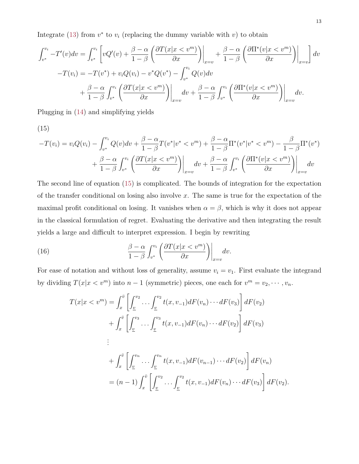Integrate [\(13\)](#page-12-0) from  $v^*$  to  $v_i$  (replacing the dummy variable with  $v$ ) to obtain

$$
\int_{v^*}^{v_i} -T'(v)dv = \int_{v^*}^{v_i} \left[ vQ'(v) + \frac{\beta - \alpha}{1 - \beta} \left( \frac{\partial T(x|x < v^m)}{\partial x} \right) \Big|_{x=v} + \frac{\beta - \alpha}{1 - \beta} \left( \frac{\partial \Pi^*(v|x < v^m)}{\partial x} \right) \Big|_{x=v} \right] dv
$$

$$
-T(v_i) = -T(v^*) + v_i Q(v_i) - v^* Q(v^*) - \int_{v^*}^{v_i} Q(v)dv
$$

$$
+ \frac{\beta - \alpha}{1 - \beta} \int_{v^*}^{v_i} \left( \frac{\partial T(x|x < v^m)}{\partial x} \right) \Big|_{x=v} dv + \frac{\beta - \alpha}{1 - \beta} \int_{v^*}^{v_i} \left( \frac{\partial \Pi^*(v|x < v^m)}{\partial x} \right) \Big|_{x=v} dv.
$$

<span id="page-13-0"></span>Plugging in [\(14\)](#page-12-1) and simplifying yields

(15)

$$
-T(v_i) = v_i Q(v_i) - \int_{v^*}^{v_i} Q(v) dv + \frac{\beta - \alpha}{1 - \beta} T(v^* | v^* < v^m) + \frac{\beta - \alpha}{1 - \beta} \Pi^*(v^* | v^* < v^m) - \frac{\beta}{1 - \beta} \Pi^*(v^*)
$$

$$
+ \frac{\beta - \alpha}{1 - \beta} \int_{v^*}^{v_i} \left( \frac{\partial T(x | x < v^m)}{\partial x} \right) \Big|_{x = v} dv + \frac{\beta - \alpha}{1 - \beta} \int_{v^*}^{v_i} \left( \frac{\partial \Pi^*(v | x < v^m)}{\partial x} \right) \Big|_{x = v} dv
$$

The second line of equation [\(15\)](#page-13-0) is complicated. The bounds of integration for the expectation of the transfer conditional on losing also involve *x*. The same is true for the expectation of the maximal profit conditional on losing. It vanishes when  $\alpha = \beta$ , which is why it does not appear in the classical formulation of regret. Evaluating the derivative and then integrating the result yields a large and difficult to interpret expression. I begin by rewriting

<span id="page-13-1"></span>(16) 
$$
\frac{\beta - \alpha}{1 - \beta} \int_{v^*}^{v_i} \left( \frac{\partial T(x | x < v^m)}{\partial x} \right) \Big|_{x = v} dv.
$$

For ease of notation and without loss of generality, assume  $v_i = v_1$ . First evaluate the integrand by dividing  $T(x|x < v^m)$  into  $n-1$  (symmetric) pieces, one each for  $v^m = v_2, \dots, v_n$ .

$$
T(x|x < v^m) = \int_x^{\bar{v}} \left[ \int_{\underline{v}}^{v_2} \dots \int_{\underline{v}}^{v_2} t(x, v_{-1}) dF(v_n) \dots dF(v_3) \right] dF(v_2)
$$
  
+ 
$$
\int_x^{\bar{v}} \left[ \int_{\underline{v}}^{v_3} \dots \int_{\underline{v}}^{v_3} t(x, v_{-1}) dF(v_n) \dots dF(v_2) \right] dF(v_3)
$$
  
:  
+ 
$$
\int_x^{\bar{v}} \left[ \int_{\underline{v}}^{v_n} \dots \int_{\underline{v}}^{v_n} t(x, v_{-1}) dF(v_{n-1}) \dots dF(v_2) \right] dF(v_n)
$$
  
= 
$$
(n-1) \int_x^{\bar{v}} \left[ \int_{\underline{v}}^{v_2} \dots \int_{\underline{v}}^{v_2} t(x, v_{-1}) dF(v_n) \dots dF(v_3) \right] dF(v_2).
$$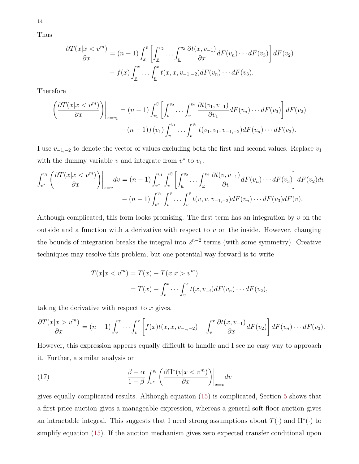Thus

$$
\frac{\partial T(x|x < v^m)}{\partial x} = (n-1) \int_x^{\bar{v}} \left[ \int_{\underline{v}}^{v_2} \dots \int_{\underline{v}}^{v_2} \frac{\partial t(x, v_{-1})}{\partial x} dF(v_n) \dots dF(v_3) \right] dF(v_2)
$$

$$
- f(x) \int_{\underline{v}}^x \dots \int_{\underline{v}}^x t(x, x, v_{-1, -2}) dF(v_n) \dots dF(v_3).
$$

Therefore

$$
\left(\frac{\partial T(x|x < v^m)}{\partial x}\right)\Big|_{x=v_1} = (n-1) \int_{v_1}^{\bar{v}} \left[ \int_{\underline{v}}^{v_2} \dots \int_{\underline{v}}^{v_2} \frac{\partial t(v_1, v_{-1})}{\partial v_1} dF(v_n) \dots dF(v_3) \right] dF(v_2) - (n-1) f(v_1) \int_{\underline{v}}^{v_1} \dots \int_{\underline{v}}^{v_1} t(v_1, v_1, v_{-1,-2}) dF(v_n) \dots dF(v_3).
$$

I use  $v_{-1,-2}$  to denote the vector of values excluding both the first and second values. Replace  $v_1$ with the dummy variable  $v$  and integrate from  $v^*$  to  $v_1$ .

$$
\int_{v^*}^{v_1} \left( \frac{\partial T(x|x < v^m)}{\partial x} \right) \Big|_{x=v} dv = (n-1) \int_{v^*}^{v_1} \int_v^{\bar{v}} \left[ \int_{\underline{v}}^{v_2} \dots \int_{\underline{v}}^{v_2} \frac{\partial t(v, v_{-1})}{\partial v} dF(v_n) \dots dF(v_3) \right] dF(v_2) dv
$$

$$
- (n-1) \int_{v^*}^{v_1} \int_{\underline{v}}^{v_2} \dots \int_{\underline{v}}^{v} t(v, v, v_{-1,-2}) dF(v_n) \dots dF(v_3) dF(v).
$$

Although complicated, this form looks promising. The first term has an integration by *v* on the outside and a function with a derivative with respect to *v* on the inside. However, changing the bounds of integration breaks the integral into  $2^{n-2}$  terms (with some symmetry). Creative techniques may resolve this problem, but one potential way forward is to write

$$
T(x|x < vm) = T(x) - T(x|x > vm)
$$
  
= 
$$
T(x) - \int_{\underline{v}}^{x} \cdots \int_{\underline{v}}^{x} t(x, v_{-i}) dF(v_n) \cdots dF(v_2),
$$

taking the derivative with respect to *x* gives.

$$
\frac{\partial T(x|x > v^m)}{\partial x} = (n-1) \int_{\underline{v}}^x \cdots \int_{\underline{v}}^x \left[ f(x)t(x, x, v_{-1,-2}) + \int_{\underline{v}}^x \frac{\partial t(x, v_{-1})}{\partial x} dF(v_2) \right] dF(v_n) \cdots dF(v_3).
$$

However, this expression appears equally difficult to handle and I see no easy way to approach it. Further, a similar analysis on

<span id="page-14-0"></span>(17) 
$$
\frac{\beta - \alpha}{1 - \beta} \int_{v^*}^{v_i} \left( \frac{\partial \Pi^*(v | x < v^m)}{\partial x} \right) \Big|_{x = v} dv
$$

gives equally complicated results. Although equation [\(15\)](#page-13-0) is complicated, Section [5](#page-18-0) shows that a first price auction gives a manageable expression, whereas a general soft floor auction gives an intractable integral. This suggests that I need strong assumptions about  $T(\cdot)$  and  $\Pi^*(\cdot)$  to simplify equation [\(15\)](#page-13-0). If the auction mechanism gives zero expected transfer conditional upon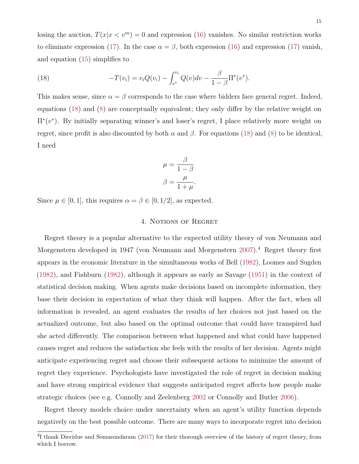losing the auction,  $T(x|x \leq v^m) = 0$  and expression [\(16\)](#page-13-1) vanishes. No similar restriction works to eliminate expression [\(17\)](#page-14-0). In the case  $\alpha = \beta$ , both expression [\(16\)](#page-13-1) and expression (17) vanish, and equation [\(15\)](#page-13-0) simplifies to

<span id="page-15-1"></span>(18) 
$$
-T(v_i) = v_i Q(v_i) - \int_{v^*}^{v_i} Q(v) dv - \frac{\beta}{1 - \beta} \Pi^*(v^*).
$$

This makes sense, since  $\alpha = \beta$  corresponds to the case where bidders face general regret. Indeed, equations [\(18\)](#page-15-1) and [\(8\)](#page-10-1) are conceptually equivalent; they only differ by the relative weight on Π∗ (*v* ∗ ). By initially separating winner's and loser's regret, I place relatively more weight on regret, since profit is also discounted by both  $\alpha$  and  $\beta$ . For equations [\(18\)](#page-15-1) and [\(8\)](#page-10-1) to be identical, I need

$$
\mu = \frac{\beta}{1 - \beta}
$$

$$
\beta = \frac{\mu}{1 + \mu}.
$$

<span id="page-15-0"></span>Since  $\mu \in [0, 1]$ , this requires  $\alpha = \beta \in [0, 1/2]$ , as expected.

#### 4. NOTIONS OF REGRET

Regret theory is a popular alternative to the expected utility theory of von Neumann and Morgenstern developed in 1947 (von Neumann and Morgenstern [2007\)](#page-43-5).<sup>4</sup> Regret theory first appears in the economic literature in the simultaneous works of Bell [\(1982\)](#page-41-5), Loomes and Sugden [\(1982\)](#page-42-3), and Fishburn [\(1982\)](#page-41-6), although it appears as early as Savage [\(1951\)](#page-43-3) in the context of statistical decision making. When agents make decisions based on incomplete information, they base their decision in expectation of what they think will happen. After the fact, when all information is revealed, an agent evaluates the results of her choices not just based on the actualized outcome, but also based on the optimal outcome that could have transpired had she acted differently. The comparison between what happened and what could have happened causes regret and reduces the satisfaction she feels with the results of her decision. Agents might anticipate experiencing regret and choose their subsequent actions to minimize the amount of regret they experience. Psychologists have investigated the role of regret in decision making and have strong empirical evidence that suggests anticipated regret affects how people make strategic choices (see e.g. Connolly and Zeelenberg [2002](#page-41-7) or Connolly and Butler [2006\)](#page-41-8).

Regret theory models choice under uncertainty when an agent's utility function depends negatively on the best possible outcome. There are many ways to incorporate regret into decision

<sup>&</sup>lt;sup>4</sup>I thank Diecidue and Somasundaram [\(2017\)](#page-41-9) for their thorough overview of the history of regret theory, from which I borrow.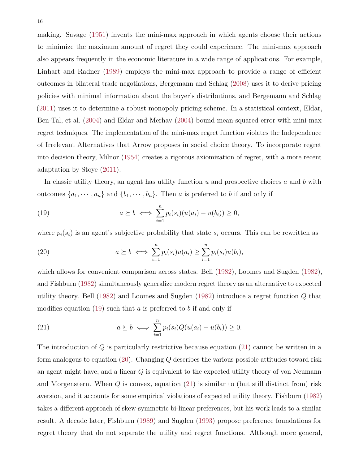making. Savage [\(1951\)](#page-43-3) invents the mini-max approach in which agents choose their actions to minimize the maximum amount of regret they could experience. The mini-max approach also appears frequently in the economic literature in a wide range of applications. For example, Linhart and Radner [\(1989\)](#page-42-6) employs the mini-max approach to provide a range of efficient outcomes in bilateral trade negotiations, Bergemann and Schlag [\(2008\)](#page-41-10) uses it to derive pricing policies with minimal information about the buyer's distributions, and Bergemann and Schlag [\(2011\)](#page-41-11) uses it to determine a robust monopoly pricing scheme. In a statistical context, Eldar, Ben-Tal, et al. [\(2004\)](#page-41-12) and Eldar and Merhav [\(2004\)](#page-41-13) bound mean-squared error with mini-max regret techniques. The implementation of the mini-max regret function violates the Independence of Irrelevant Alternatives that Arrow proposes in social choice theory. To incorporate regret into decision theory, Milnor [\(1954\)](#page-43-6) creates a rigorous axiomization of regret, with a more recent adaptation by Stoye [\(2011\)](#page-43-7).

In classic utility theory, an agent has utility function *u* and prospective choices *a* and *b* with outcomes  $\{a_1, \dots, a_n\}$  and  $\{b_1, \dots, b_n\}$ . Then *a* is preferred to *b* if and only if

<span id="page-16-0"></span>(19) 
$$
a \succeq b \iff \sum_{i=1}^{n} p_i(s_i) (u(a_i) - u(b_i)) \geq 0,
$$

where  $p_i(s_i)$  is an agent's subjective probability that state  $s_i$  occurs. This can be rewritten as

<span id="page-16-2"></span>(20) 
$$
a \succeq b \iff \sum_{i=1}^n p_i(s_i) u(a_i) \ge \sum_{i=1}^n p_i(s_i) u(b_i),
$$

which allows for convenient comparison across states. Bell [\(1982\)](#page-41-5), Loomes and Sugden [\(1982\)](#page-42-3), and Fishburn [\(1982\)](#page-41-6) simultaneously generalize modern regret theory as an alternative to expected utility theory. Bell [\(1982\)](#page-41-5) and Loomes and Sugden [\(1982\)](#page-42-3) introduce a regret function *Q* that modifies equation [\(19\)](#page-16-0) such that *a* is preferred to *b* if and only if

<span id="page-16-1"></span>(21) 
$$
a \succeq b \iff \sum_{i=1}^{n} p_i(s_i) Q(u(a_i) - u(b_i)) \geq 0.
$$

The introduction of *Q* is particularly restrictive because equation [\(21\)](#page-16-1) cannot be written in a form analogous to equation [\(20\)](#page-16-2). Changing *Q* describes the various possible attitudes toward risk an agent might have, and a linear *Q* is equivalent to the expected utility theory of von Neumann and Morgenstern. When *Q* is convex, equation [\(21\)](#page-16-1) is similar to (but still distinct from) risk aversion, and it accounts for some empirical violations of expected utility theory. Fishburn [\(1982\)](#page-41-6) takes a different approach of skew-symmetric bi-linear preferences, but his work leads to a similar result. A decade later, Fishburn [\(1989\)](#page-42-7) and Sugden [\(1993\)](#page-43-8) propose preference foundations for regret theory that do not separate the utility and regret functions. Although more general,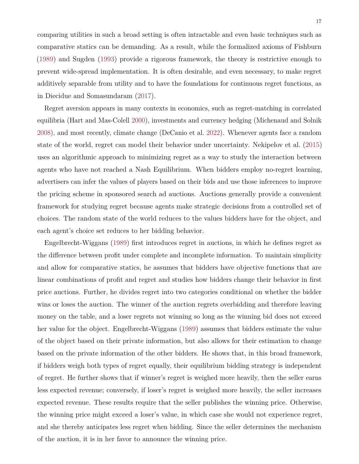comparing utilities in such a broad setting is often intractable and even basic techniques such as comparative statics can be demanding. As a result, while the formalized axioms of Fishburn [\(1989\)](#page-42-7) and Sugden [\(1993\)](#page-43-8) provide a rigorous framework, the theory is restrictive enough to prevent wide-spread implementation. It is often desirable, and even necessary, to make regret additively separable from utility and to have the foundations for continuous regret functions, as in Diecidue and Somasundaram [\(2017\)](#page-41-9).

Regret aversion appears in many contexts in economics, such as regret-matching in correlated equilibria (Hart and Mas-Colell [2000\)](#page-42-8), investments and currency hedging (Michenaud and Solnik [2008\)](#page-43-9), and most recently, climate change (DeCanio et al. [2022\)](#page-41-14). Whenever agents face a random state of the world, regret can model their behavior under uncertainty. Nekipelov et al. [\(2015\)](#page-43-10) uses an algorithmic approach to minimizing regret as a way to study the interaction between agents who have not reached a Nash Equilibrium. When bidders employ no-regret learning, advertisers can infer the values of players based on their bids and use those inferences to improve the pricing scheme in sponsored search ad auctions. Auctions generally provide a convenient framework for studying regret because agents make strategic decisions from a controlled set of choices. The random state of the world reduces to the values bidders have for the object, and each agent's choice set reduces to her bidding behavior.

Engelbrecht-Wiggans [\(1989\)](#page-41-1) first introduces regret in auctions, in which he defines regret as the difference between profit under complete and incomplete information. To maintain simplicity and allow for comparative statics, he assumes that bidders have objective functions that are linear combinations of profit and regret and studies how bidders change their behavior in first price auctions. Further, he divides regret into two categories conditional on whether the bidder wins or loses the auction. The winner of the auction regrets overbidding and therefore leaving money on the table, and a loser regrets not winning so long as the winning bid does not exceed her value for the object. Engelbrecht-Wiggans [\(1989\)](#page-41-1) assumes that bidders estimate the value of the object based on their private information, but also allows for their estimation to change based on the private information of the other bidders. He shows that, in this broad framework, if bidders weigh both types of regret equally, their equilibrium bidding strategy is independent of regret. He further shows that if winner's regret is weighed more heavily, then the seller earns less expected revenue; conversely, if loser's regret is weighed more heavily, the seller increases expected revenue. These results require that the seller publishes the winning price. Otherwise, the winning price might exceed a loser's value, in which case she would not experience regret, and she thereby anticipates less regret when bidding. Since the seller determines the mechanism of the auction, it is in her favor to announce the winning price.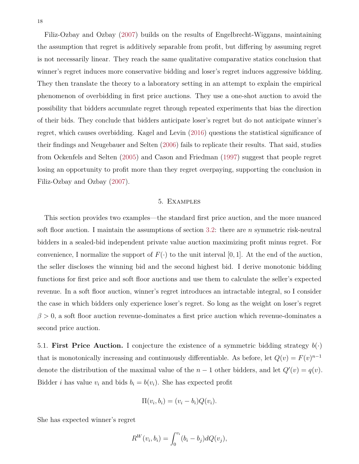Filiz-Ozbay and Ozbay [\(2007\)](#page-41-4) builds on the results of Engelbrecht-Wiggans, maintaining

the assumption that regret is additively separable from profit, but differing by assuming regret is not necessarily linear. They reach the same qualitative comparative statics conclusion that winner's regret induces more conservative bidding and loser's regret induces aggressive bidding. They then translate the theory to a laboratory setting in an attempt to explain the empirical phenomenon of overbidding in first price auctions. They use a one-shot auction to avoid the possibility that bidders accumulate regret through repeated experiments that bias the direction of their bids. They conclude that bidders anticipate loser's regret but do not anticipate winner's regret, which causes overbidding. Kagel and Levin [\(2016\)](#page-42-9) questions the statistical significance of their findings and Neugebauer and Selten [\(2006\)](#page-43-11) fails to replicate their results. That said, studies from Ockenfels and Selten [\(2005\)](#page-43-12) and Cason and Friedman [\(1997\)](#page-41-15) suggest that people regret losing an opportunity to profit more than they regret overpaying, supporting the conclusion in Filiz-Ozbay and Ozbay [\(2007\)](#page-41-4).

#### 5. Examples

<span id="page-18-0"></span>This section provides two examples—the standard first price auction, and the more nuanced soft floor auction. I maintain the assumptions of section 3*.*[2:](#page-11-0) there are *n* symmetric risk-neutral bidders in a sealed-bid independent private value auction maximizing profit minus regret. For convenience, I normalize the support of  $F(\cdot)$  to the unit interval [0, 1]. At the end of the auction, the seller discloses the winning bid and the second highest bid. I derive monotonic bidding functions for first price and soft floor auctions and use them to calculate the seller's expected revenue. In a soft floor auction, winner's regret introduces an intractable integral, so I consider the case in which bidders only experience loser's regret. So long as the weight on loser's regret *β >* 0, a soft floor auction revenue-dominates a first price auction which revenue-dominates a second price auction.

<span id="page-18-1"></span>5.1. **First Price Auction.** I conjecture the existence of a symmetric bidding strategy  $b(\cdot)$ that is monotonically increasing and continuously differentiable. As before, let  $Q(v) = F(v)^{n-1}$ denote the distribution of the maximal value of the  $n-1$  other bidders, and let  $Q'(v) = q(v)$ . Bidder *i* has value  $v_i$  and bids  $b_i = b(v_i)$ . She has expected profit

$$
\Pi(v_i, b_i) = (v_i - b_i)Q(v_i).
$$

She has expected winner's regret

$$
R^{W}(v_{i},b_{i}) = \int_{0}^{v_{i}} (b_{i} - b_{j}) dQ(v_{j}),
$$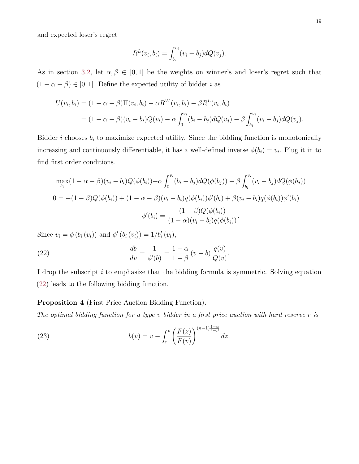and expected loser's regret

$$
R^{L}(v_{i}, b_{i}) = \int_{b_{i}}^{v_{i}} (v_{i} - b_{j}) dQ(v_{j}).
$$

As in section [3.2,](#page-11-0) let  $\alpha, \beta \in [0,1]$  be the weights on winner's and loser's regret such that  $(1 - \alpha - \beta) \in [0, 1]$ . Define the expected utility of bidder  $i$  as

$$
U(v_i, b_i) = (1 - \alpha - \beta) \Pi(v_i, b_i) - \alpha R^W(v_i, b_i) - \beta R^L(v_i, b_i)
$$
  
=  $(1 - \alpha - \beta)(v_i - b_i)Q(v_i) - \alpha \int_0^{v_i} (b_i - b_j) dQ(v_j) - \beta \int_{b_i}^{v_i} (v_i - b_j) dQ(v_j).$ 

Bidder *i* chooses  $b_i$  to maximize expected utility. Since the bidding function is monotonically increasing and continuously differentiable, it has a well-defined inverse  $\phi(b_i) = v_i$ . Plug it in to find first order conditions.

$$
\max_{b_i} (1 - \alpha - \beta)(v_i - b_i)Q(\phi(b_i)) - \alpha \int_0^{v_i} (b_i - b_j) dQ(\phi(b_j)) - \beta \int_{b_i}^{v_i} (v_i - b_j) dQ(\phi(b_j))
$$
  

$$
0 = -(1 - \beta)Q(\phi(b_i)) + (1 - \alpha - \beta)(v_i - b_i)q(\phi(b_i))\phi'(b_i) + \beta(v_i - b_i)q(\phi(b_i))\phi'(b_i)
$$
  

$$
\phi'(b_i) = \frac{(1 - \beta)Q(\phi(b_i))}{(1 - \alpha)(v_i - b_i)q(\phi(b_i))}.
$$

Since  $v_i = \phi(b_i(v_i))$  and  $\phi'(b_i(v_i)) = 1/b'_i(v_i)$ ,

<span id="page-19-0"></span>(22) 
$$
\frac{db}{dv} = \frac{1}{\phi'(b)} = \frac{1-\alpha}{1-\beta}(v-b)\frac{q(v)}{Q(v)}.
$$

I drop the subscript *i* to emphasize that the bidding formula is symmetric. Solving equation [\(22\)](#page-19-0) leads to the following bidding function.

<span id="page-19-2"></span>**Proposition 4** (First Price Auction Bidding Function)**.**

*The optimal bidding function for a type v bidder in a first price auction with hard reserve r is*

<span id="page-19-1"></span>(23) 
$$
b(v) = v - \int_r^v \left(\frac{F(z)}{F(v)}\right)^{(n-1)\frac{1-\alpha}{1-\beta}} dz.
$$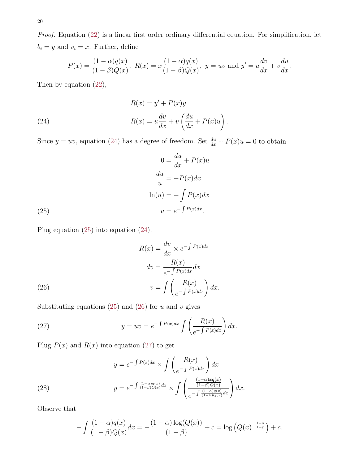*Proof.* Equation [\(22\)](#page-19-0) is a linear first order ordinary differential equation. For simplification, let  $b_i = y$  and  $v_i = x$ . Further, define

$$
P(x) = \frac{(1 - \alpha)q(x)}{(1 - \beta)Q(x)}, \ R(x) = x\frac{(1 - \alpha)q(x)}{(1 - \beta)Q(x)}, \ y = uv \text{ and } y' = u\frac{dv}{dx} + v\frac{du}{dx}.
$$

Then by equation [\(22\)](#page-19-0),

<span id="page-20-0"></span>(24) 
$$
R(x) = y' + P(x)y
$$

$$
R(x) = u\frac{dv}{dx} + v\left(\frac{du}{dx} + P(x)u\right).
$$

Since  $y = uv$ , equation [\(24\)](#page-20-0) has a degree of freedom. Set  $\frac{du}{dx} + P(x)u = 0$  to obtain

(25) 
$$
0 = \frac{du}{dx} + P(x)u
$$

$$
\frac{du}{u} = -P(x)dx
$$

$$
\ln(u) = -\int P(x)dx
$$

$$
u = e^{-\int P(x)dx}.
$$

<span id="page-20-1"></span>Plug equation [\(25\)](#page-20-1) into equation [\(24\)](#page-20-0).

(26)  
\n
$$
R(x) = \frac{dv}{dx} \times e^{-\int P(x)dx}
$$
\n
$$
dv = \frac{R(x)}{e^{-\int P(x)dx}} dx
$$
\n
$$
v = \int \left(\frac{R(x)}{e^{-\int P(x)dx}}\right) dx.
$$

<span id="page-20-2"></span>Substituting equations  $(25)$  and  $(26)$  for  $u$  and  $v$  gives

<span id="page-20-3"></span>(27) 
$$
y = uv = e^{-\int P(x)dx} \int \left(\frac{R(x)}{e^{-\int P(x)dx}}\right) dx.
$$

Plug  $P(x)$  and  $R(x)$  into equation [\(27\)](#page-20-3) to get

<span id="page-20-4"></span>(28) 
$$
y = e^{-\int P(x)dx} \times \int \left(\frac{R(x)}{e^{-\int P(x)dx}}\right) dx
$$

$$
y = e^{-\int \frac{(1-\alpha)q(x)}{(1-\beta)Q(x)}dx} \times \int \left(\frac{\frac{(1-\alpha)xq(x)}{(1-\beta)Q(x)}}{e^{-\int \frac{(1-\alpha)q(x)}{(1-\beta)Q(x)}dx}}\right) dx.
$$

Observe that

$$
-\int \frac{(1-\alpha)q(x)}{(1-\beta)Q(x)}dx = -\frac{(1-\alpha)\log(Q(x))}{(1-\beta)} + c = \log(Q(x)^{-\frac{1-\alpha}{1-\beta}}) + c.
$$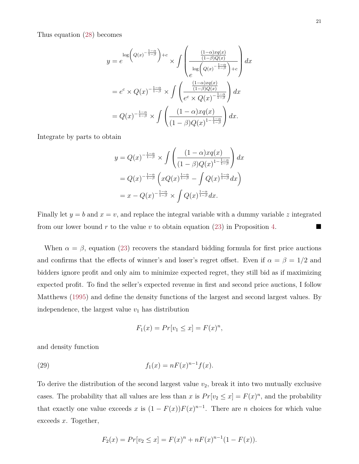Thus equation [\(28\)](#page-20-4) becomes

$$
y = e^{\log \left(Q(x)^{-\frac{1-\alpha}{1-\beta}}\right) + c} \times \int \left(\frac{\frac{(1-\alpha)xq(x)}{(1-\beta)Q(x)}}{\log \left(Q(x)^{-\frac{1-\alpha}{1-\beta}}\right) + c}\right) dx
$$
  

$$
= e^c \times Q(x)^{-\frac{1-\alpha}{1-\beta}} \times \int \left(\frac{\frac{(1-\alpha)xq(x)}{(1-\beta)Q(x)}}{e^c \times Q(x)^{-\frac{1-\alpha}{1-\beta}}}\right) dx
$$
  

$$
= Q(x)^{-\frac{1-\alpha}{1-\beta}} \times \int \left(\frac{(1-\alpha)xq(x)}{(1-\beta)Q(x)^{1-\frac{1-\alpha}{1-\beta}}}\right) dx.
$$

Integrate by parts to obtain

$$
y = Q(x)^{-\frac{1-\alpha}{1-\beta}} \times \int \left( \frac{(1-\alpha)xq(x)}{(1-\beta)Q(x)^{1-\frac{1-\alpha}{1-\beta}}} \right) dx
$$
  
=  $Q(x)^{-\frac{1-\alpha}{1-\beta}} \left( xQ(x)^{\frac{1-\alpha}{1-\beta}} - \int Q(x)^{\frac{1-\alpha}{1-\beta}} dx \right)$   
=  $x - Q(x)^{-\frac{1-\alpha}{1-\beta}} \times \int Q(x)^{\frac{1-\alpha}{1-\beta}} dx.$ 

Finally let  $y = b$  and  $x = v$ , and replace the integral variable with a dummy variable z integrated from our lower bound  $r$  to the value  $v$  to obtain equation [\(23\)](#page-19-1) in Proposition [4.](#page-19-2)

When  $\alpha = \beta$ , equation [\(23\)](#page-19-1) recovers the standard bidding formula for first price auctions and confirms that the effects of winner's and loser's regret offset. Even if  $\alpha = \beta = 1/2$  and bidders ignore profit and only aim to minimize expected regret, they still bid as if maximizing expected profit. To find the seller's expected revenue in first and second price auctions, I follow Matthews [\(1995\)](#page-42-10) and define the density functions of the largest and second largest values. By independence, the largest value  $v_1$  has distribution

$$
F_1(x) = Pr[v_1 \le x] = F(x)^n,
$$

<span id="page-21-0"></span>and density function

(29) 
$$
f_1(x) = nF(x)^{n-1}f(x).
$$

To derive the distribution of the second largest value  $v_2$ , break it into two mutually exclusive cases. The probability that all values are less than *x* is  $Pr[v_2 \leq x] = F(x)^n$ , and the probability that exactly one value exceeds *x* is  $(1 - F(x))F(x)^{n-1}$ . There are *n* choices for which value exceeds *x*. Together,

$$
F_2(x) = Pr[v_2 \le x] = F(x)^n + nF(x)^{n-1}(1 - F(x)).
$$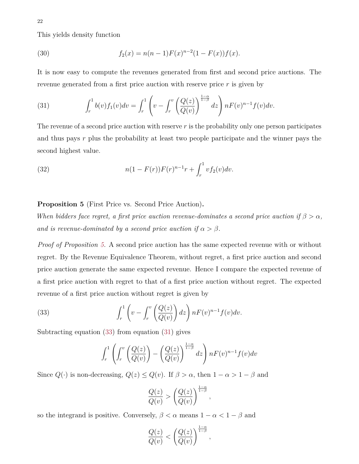<span id="page-22-4"></span>This yields density function

(30) 
$$
f_2(x) = n(n-1)F(x)^{n-2}(1 - F(x))f(x).
$$

It is now easy to compute the revenues generated from first and second price auctions. The revenue generated from a first price auction with reserve price *r* is given by

<span id="page-22-2"></span>(31) 
$$
\int_r^1 b(v) f_1(v) dv = \int_r^1 \left( v - \int_r^v \left( \frac{Q(z)}{Q(v)} \right)^{\frac{1-\alpha}{1-\beta}} dz \right) nF(v)^{n-1} f(v) dv.
$$

The revenue of a second price auction with reserve *r* is the probability only one person participates and thus pays *r* plus the probability at least two people participate and the winner pays the second highest value.

<span id="page-22-3"></span>(32) 
$$
n(1 - F(r))F(r)^{n-1}r + \int_r^1 v f_2(v)dv.
$$

# <span id="page-22-0"></span>**Proposition 5** (First Price vs. Second Price Auction)**.**

*When bidders face regret, a first price auction revenue-dominates a second price auction if*  $\beta > \alpha$ *, and is revenue-dominated by a second price auction if*  $\alpha > \beta$ *.* 

*Proof of Proposition [5.](#page-22-0)* A second price auction has the same expected revenue with or without regret. By the Revenue Equivalence Theorem, without regret, a first price auction and second price auction generate the same expected revenue. Hence I compare the expected revenue of a first price auction with regret to that of a first price auction without regret. The expected revenue of a first price auction without regret is given by

<span id="page-22-1"></span>(33) 
$$
\int_r^1 \left(v - \int_r^v \left(\frac{Q(z)}{Q(v)}\right) dz\right) nF(v)^{n-1} f(v) dv.
$$

Subtracting equation [\(33\)](#page-22-1) from equation [\(31\)](#page-22-2) gives

$$
\int_r^1 \left( \int_r^v \left( \frac{Q(z)}{Q(v)} \right) - \left( \frac{Q(z)}{Q(v)} \right)^{\frac{1-\alpha}{1-\beta}} dz \right) n F(v)^{n-1} f(v) dv
$$

Since  $Q(\cdot)$  is non-decreasing,  $Q(z) \leq Q(v)$ . If  $\beta > \alpha$ , then  $1 - \alpha > 1 - \beta$  and

$$
\frac{Q(z)}{Q(v)} > \left(\frac{Q(z)}{Q(v)}\right)^{\frac{1-\alpha}{1-\beta}},
$$

so the integrand is positive. Conversely,  $\beta < \alpha$  means  $1 - \alpha < 1 - \beta$  and

$$
\frac{Q(z)}{Q(v)} < \left(\frac{Q(z)}{Q(v)}\right)^{\frac{1-\alpha}{1-\beta}},
$$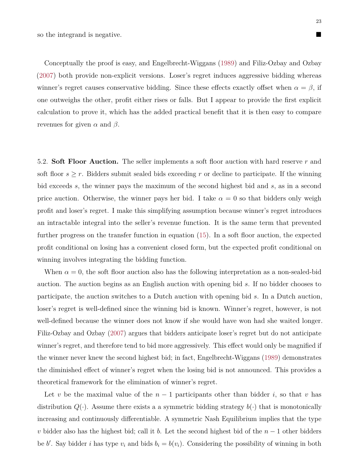Conceptually the proof is easy, and Engelbrecht-Wiggans [\(1989\)](#page-41-1) and Filiz-Ozbay and Ozbay [\(2007\)](#page-41-4) both provide non-explicit versions. Loser's regret induces aggressive bidding whereas winner's regret causes conservative bidding. Since these effects exactly offset when  $\alpha = \beta$ , if one outweighs the other, profit either rises or falls. But I appear to provide the first explicit calculation to prove it, which has the added practical benefit that it is then easy to compare revenues for given  $\alpha$  and  $\beta$ .

<span id="page-23-0"></span>5.2. **Soft Floor Auction.** The seller implements a soft floor auction with hard reserve *r* and soft floor  $s \geq r$ . Bidders submit sealed bids exceeding *r* or decline to participate. If the winning bid exceeds *s*, the winner pays the maximum of the second highest bid and *s*, as in a second price auction. Otherwise, the winner pays her bid. I take  $\alpha = 0$  so that bidders only weigh profit and loser's regret. I make this simplifying assumption because winner's regret introduces an intractable integral into the seller's revenue function. It is the same term that prevented further progress on the transfer function in equation [\(15\)](#page-13-0). In a soft floor auction, the expected profit conditional on losing has a convenient closed form, but the expected profit conditional on winning involves integrating the bidding function.

When  $\alpha = 0$ , the soft floor auction also has the following interpretation as a non-sealed-bid auction. The auction begins as an English auction with opening bid *s*. If no bidder chooses to participate, the auction switches to a Dutch auction with opening bid *s*. In a Dutch auction, loser's regret is well-defined since the winning bid is known. Winner's regret, however, is not well-defined because the winner does not know if she would have won had she waited longer. Filiz-Ozbay and Ozbay [\(2007\)](#page-41-4) argues that bidders anticipate loser's regret but do not anticipate winner's regret, and therefore tend to bid more aggressively. This effect would only be magnified if the winner never knew the second highest bid; in fact, Engelbrecht-Wiggans [\(1989\)](#page-41-1) demonstrates the diminished effect of winner's regret when the losing bid is not announced. This provides a theoretical framework for the elimination of winner's regret.

Let *v* be the maximal value of the  $n-1$  participants other than bidder *i*, so that *v* has distribution  $Q(\cdot)$ . Assume there exists a a symmetric bidding strategy  $b(\cdot)$  that is monotonically increasing and continuously differentiable. A symmetric Nash Equilibrium implies that the type *v* bidder also has the highest bid; call it *b*. Let the second highest bid of the *n* − 1 other bidders be *b*'. Say bidder *i* has type  $v_i$  and bids  $b_i = b(v_i)$ . Considering the possibility of winning in both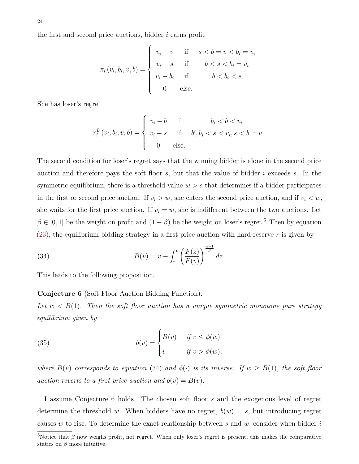the first and second price auctions, bidder *i* earns profit

$$
\pi_i(v_i, b_i, v, b) = \begin{cases} v_i - v & \text{if } s < b = v < b_i = v_i \\ v_i - s & \text{if } b < s < b_i = v_i \\ v_i - b_i & \text{if } b < b_i < s \\ 0 & \text{else.} \end{cases}
$$

She has loser's regret

$$
r_i^L(v_i, b_i, v, b) = \begin{cases} v_i - b & \text{if } b_i < b < v_i \\ v_i - s & \text{if } b', b_i < s < v_i, s < b = v \\ 0 & \text{else.} \end{cases}
$$

The second condition for loser's regret says that the winning bidder is alone in the second price auction and therefore pays the soft floor *s*, but that the value of bidder *i* exceeds *s*. In the symmetric equilibrium, there is a threshold value  $w > s$  that determines if a bidder participates in the first or second price auction. If  $v_i > w$ , she enters the second price auction, and if  $v_i < w$ , she waits for the first price auction. If  $v_i = w$ , she is indifferent between the two auctions. Let  $\beta \in [0, 1]$  be the weight on profit and  $(1 - \beta)$  be the weight on loser's regret.<sup>5</sup> Then by equation [\(23\)](#page-19-1), the equilibrium bidding strategy in a first price auction with hard reserve *r* is given by

<span id="page-24-0"></span>(34) 
$$
B(v) = v - \int_r^v \left(\frac{F(z)}{F(v)}\right)^{\frac{n-1}{\beta}} dz.
$$

<span id="page-24-1"></span>This leads to the following proposition.

#### **Conjecture 6** (Soft Floor Auction Bidding Function)**.**

Let  $w < B(1)$ . Then the soft floor auction has a unique symmetric monotone pure strategy *equilibrium given by*

(35) 
$$
b(v) = \begin{cases} B(v) & \text{if } v \le \phi(w) \\ v & \text{if } v > \phi(w), \end{cases}
$$

*where*  $B(v)$  *corresponds to equation* [\(34\)](#page-24-0) *and*  $\phi(\cdot)$  *is its inverse. If*  $w \ge B(1)$ *, the soft floor auction reverts to a first price auction and*  $b(v) = B(v)$ *.* 

I assume Conjecture [6](#page-24-1) holds. The chosen soft floor *s* and the exogenous level of regret determine the threshold *w*. When bidders have no regret,  $b(w) = s$ , but introducing regret causes *w* to rise. To determine the exact relationship between *s* and *w*, consider when bidder *i*

<sup>&</sup>lt;sup>5</sup>Notice that *β* now weighs profit, not regret. When only loser's regret is present, this makes the comparative statics on  $\beta$  more intuitive.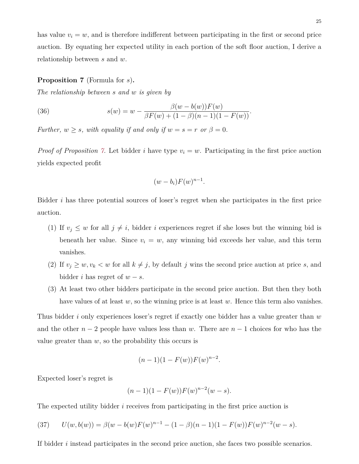has value  $v_i = w$ , and is therefore indifferent between participating in the first or second price auction. By equating her expected utility in each portion of the soft floor auction, I derive a relationship between *s* and *w*.

#### <span id="page-25-0"></span>**Proposition 7** (Formula for *s*)**.**

*The relationship between s and w is given by*

<span id="page-25-2"></span>(36) 
$$
s(w) = w - \frac{\beta(w - b(w))F(w)}{\beta F(w) + (1 - \beta)(n - 1)(1 - F(w))}.
$$

*Further,*  $w \geq s$ *, with equality if and only if*  $w = s = r$  *or*  $\beta = 0$ *.* 

*Proof of Proposition* [7.](#page-25-0) Let bidder *i* have type  $v_i = w$ . Participating in the first price auction yields expected profit

$$
(w-b_i)F(w)^{n-1}.
$$

Bidder *i* has three potential sources of loser's regret when she participates in the first price auction.

- (1) If  $v_j \leq w$  for all  $j \neq i$ , bidder *i* experiences regret if she loses but the winning bid is beneath her value. Since  $v_i = w$ , any winning bid exceeds her value, and this term vanishes.
- (2) If  $v_j \geq w, v_k < w$  for all  $k \neq j$ , by default *j* wins the second price auction at price *s*, and bidder *i* has regret of  $w - s$ .
- (3) At least two other bidders participate in the second price auction. But then they both have values of at least *w*, so the winning price is at least *w*. Hence this term also vanishes.

Thus bidder *i* only experiences loser's regret if exactly one bidder has a value greater than *w* and the other *n* − 2 people have values less than *w*. There are *n* − 1 choices for who has the value greater than  $w$ , so the probability this occurs is

$$
(n-1)(1 - F(w))F(w)^{n-2}.
$$

Expected loser's regret is

$$
(n-1)(1 - F(w))F(w)^{n-2}(w - s).
$$

<span id="page-25-1"></span>The expected utility bidder *i* receives from participating in the first price auction is

(37) 
$$
U(w, b(w)) = \beta(w - b(w)F(w)^{n-1} - (1 - \beta)(n-1)(1 - F(w))F(w)^{n-2}(w - s).
$$

If bidder *i* instead participates in the second price auction, she faces two possible scenarios.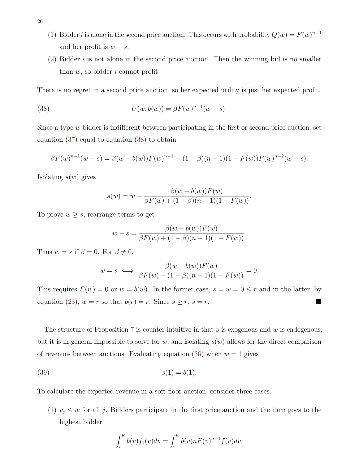- (1) Bidder *i* is alone in the second price auction. This occurs with probability  $Q(w) = F(w)^{n-1}$ and her profit is  $w - s$ .
- (2) Bidder *i* is not alone in the second price auction. Then the winning bid is no smaller than *w*, so bidder *i* cannot profit.

There is no regret in a second price auction, so her expected utility is just her expected profit.

(38) 
$$
U(w, b(w)) = \beta F(w)^{n-1}(w-s).
$$

Since a type *w* bidder is indifferent between participating in the first or second price auction, set equation [\(37\)](#page-25-1) equal to equation [\(38\)](#page-26-0) to obtain

$$
\beta F(w)^{n-1}(w-s) = \beta(w-b(w))F(w)^{n-1} - (1-\beta)(n-1)(1-F(w))F(w)^{n-2}(w-s).
$$

Isolating *s*(*w*) gives

<span id="page-26-0"></span>
$$
s(w) = w - \frac{\beta(w - b(w))F(w)}{\beta F(w) + (1 - \beta)(n - 1)(1 - F(w))}.
$$

To prove  $w \geq s$ , rearrange terms to get

$$
w - s = \frac{\beta(w - b(w))F(w)}{\beta F(w) + (1 - \beta)(n - 1)(1 - F(w))}.
$$

Thus  $w = s$  if  $\beta = 0$ . For  $\beta \neq 0$ ,

$$
w = s \iff \frac{\beta(w - b(w))F(w)}{\beta F(w) + (1 - \beta)(n - 1)(1 - F(w))} = 0.
$$

This requires  $F(w) = 0$  or  $w = b(w)$ . In the former case,  $s = w = 0 \le r$  and in the latter, by equation [\(23\)](#page-19-1),  $w = r$  so that  $b(r) = r$ . Since  $s \geq r$ ,  $s = r$ .

The structure of Proposition [7](#page-25-0) is counter-intuitive in that *s* is exogenous and *w* is endogenous, but it is in general impossible to solve for  $w$ , and isolating  $s(w)$  allows for the direct comparison of revenues between auctions. Evaluating equation  $(36)$  when  $w = 1$  gives

(39) 
$$
s(1) = b(1)
$$
.

To calculate the expected revenue in a soft floor auction, consider three cases.

(1)  $v_j \leq w$  for all *j*. Bidders participate in the first price auction and the item goes to the highest bidder.

<span id="page-26-1"></span>
$$
\int_r^w b(v)f_1(v)dv = \int_r^w b(v)nF(v)^{n-1}f(v)dv.
$$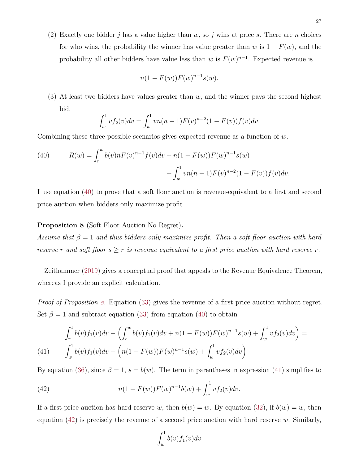(2) Exactly one bidder *j* has a value higher than  $w$ , so *j* wins at price *s*. There are *n* choices for who wins, the probability the winner has value greater than *w* is  $1 - F(w)$ , and the probability all other bidders have value less than *w* is  $F(w)^{n-1}$ . Expected revenue is

$$
n(1 - F(w))F(w)^{n-1}s(w).
$$

(3) At least two bidders have values greater than *w*, and the winner pays the second highest bid.

$$
\int_w^1 v f_2(v) dv = \int_w^1 v n(n-1) F(v)^{n-2} (1 - F(v)) f(v) dv.
$$

Combining these three possible scenarios gives expected revenue as a function of *w*.

<span id="page-27-0"></span>(40) 
$$
R(w) = \int_{r}^{w} b(v)nF(v)^{n-1}f(v)dv + n(1 - F(w))F(w)^{n-1}s(w) + \int_{w}^{1} vn(n-1)F(v)^{n-2}(1 - F(v))f(v)dv.
$$

I use equation [\(40\)](#page-27-0) to prove that a soft floor auction is revenue-equivalent to a first and second price auction when bidders only maximize profit.

# <span id="page-27-1"></span>**Proposition 8** (Soft Floor Auction No Regret)**.**

*Assume that β* = 1 *and thus bidders only maximize profit. Then a soft floor auction with hard reserve r* and soft floor  $s \geq r$  *is revenue equivalent to a first price auction with hard reserve r.* 

Zeithammer [\(2019\)](#page-44-0) gives a conceptual proof that appeals to the Revenue Equivalence Theorem, whereas I provide an explicit calculation.

*Proof of Proposition [8.](#page-27-1)* Equation [\(33\)](#page-22-1) gives the revenue of a first price auction without regret. Set  $\beta = 1$  and subtract equation [\(33\)](#page-22-1) from equation [\(40\)](#page-27-0) to obtain

<span id="page-27-2"></span>(41) 
$$
\int_{r}^{1} b(v) f_1(v) dv - \left( \int_{r}^{w} b(v) f_1(v) dv + n(1 - F(w)) F(w)^{n-1} s(w) + \int_{w}^{1} v f_2(v) dv \right) =
$$

$$
\int_{w}^{1} b(v) f_1(v) dv - \left( n(1 - F(w)) F(w)^{n-1} s(w) + \int_{w}^{1} v f_2(v) dv \right)
$$

By equation [\(36\)](#page-25-2), since  $\beta = 1$ ,  $s = b(w)$ . The term in parentheses in expression [\(41\)](#page-27-2) simplifies to

<span id="page-27-3"></span>(42) 
$$
n(1 - F(w))F(w)^{n-1}b(w) + \int_w^1 vf_2(v)dv.
$$

If a first price auction has hard reserve *w*, then  $b(w) = w$ . By equation [\(32\)](#page-22-3), if  $b(w) = w$ , then equation [\(42\)](#page-27-3) is precisely the revenue of a second price auction with hard reserve *w*. Similarly,

$$
\int_w^1 b(v) f_1(v) dv
$$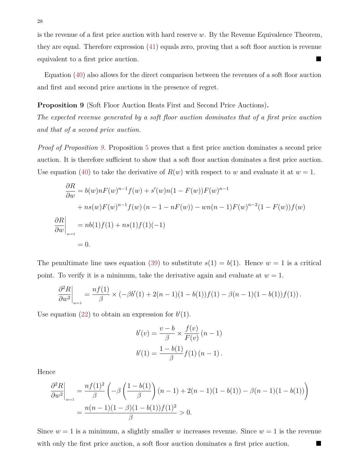is the revenue of a first price auction with hard reserve *w*. By the Revenue Equivalence Theorem, they are equal. Therefore expression [\(41\)](#page-27-2) equals zero, proving that a soft floor auction is revenue equivalent to a first price auction.

Equation [\(40\)](#page-27-0) also allows for the direct comparison between the revenues of a soft floor auction and first and second price auctions in the presence of regret.

<span id="page-28-0"></span>**Proposition 9** (Soft Floor Auction Beats First and Second Price Auctions)**.**

*The expected revenue generated by a soft floor auction dominates that of a first price auction and that of a second price auction.*

*Proof of Proposition [9.](#page-28-0)* Proposition [5](#page-22-0) proves that a first price auction dominates a second price auction. It is therefore sufficient to show that a soft floor auction dominates a first price auction. Use equation [\(40\)](#page-27-0) to take the derivative of  $R(w)$  with respect to *w* and evaluate it at  $w = 1$ .

$$
\frac{\partial R}{\partial w} = b(w)nF(w)^{n-1}f(w) + s'(w)n(1 - F(w))F(w)^{n-1}
$$
  
+  $ns(w)F(w)^{n-1}f(w) (n - 1 - nF(w)) - wn(n - 1)F(w)^{n-2}(1 - F(w))f(w)$   

$$
\frac{\partial R}{\partial w}\Big|_{w=1} = nb(1)f(1) + ns(1)f(1)(-1)
$$
  
= 0.

The penultimate line uses equation [\(39\)](#page-26-1) to substitute  $s(1) = b(1)$ . Hence  $w = 1$  is a critical point. To verify it is a minimum, take the derivative again and evaluate at  $w = 1$ .

$$
\left. \frac{\partial^2 R}{\partial w^2} \right|_{w=1} = \frac{n f(1)}{\beta} \times (-\beta b'(1) + 2(n-1)(1-b(1))f(1) - \beta(n-1)(1-b(1))f(1)).
$$

Use equation  $(22)$  to obtain an expression for  $b'(1)$ .

$$
b'(v) = \frac{v - b}{\beta} \times \frac{f(v)}{F(v)} (n - 1)
$$

$$
b'(1) = \frac{1 - b(1)}{\beta} f(1) (n - 1).
$$

Hence

$$
\frac{\partial^2 R}{\partial w^2}\bigg|_{w=1} = \frac{nf(1)^2}{\beta} \left(-\beta \left(\frac{1-b(1)}{\beta}\right)(n-1) + 2(n-1)(1-b(1)) - \beta(n-1)(1-b(1))\right)
$$

$$
= \frac{n(n-1)(1-\beta)(1-b(1))f(1)^2}{\beta} > 0.
$$

Since  $w = 1$  is a minimum, a slightly smaller *w* increases revenue. Since  $w = 1$  is the revenue with only the first price auction, a soft floor auction dominates a first price auction.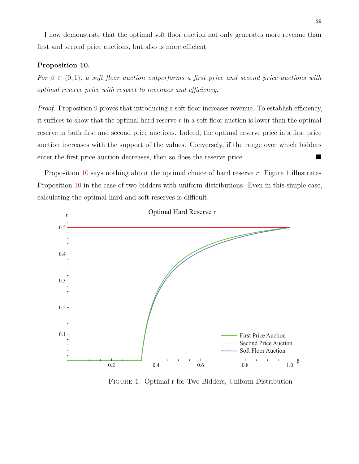I now demonstrate that the optimal soft floor auction not only generates more revenue than first and second price auctions, but also is more efficient.

# <span id="page-29-0"></span>**Proposition 10.**

*For*  $\beta \in (0,1)$ *, a soft floor auction outperforms a first price and second price auctions with optimal reserve price with respect to revenues and efficiency.*

*Proof.* Proposition [9](#page-28-0) proves that introducing a soft floor increases revenue. To establish efficiency, it suffices to show that the optimal hard reserve *r* in a soft floor auction is lower than the optimal reserve in both first and second price auctions. Indeed, the optimal reserve price in a first price auction increases with the support of the values. Conversely, if the range over which bidders enter the first price auction decreases, then so does the reserve price.

Proposition [10](#page-29-0) says nothing about the optimal choice of hard reserve *r*. Figure [1](#page-29-1) illustrates Proposition [10](#page-29-0) in the case of two bidders with uniform distributions. Even in this simple case, calculating the optimal hard and soft reserves is difficult.



<span id="page-29-1"></span>Figure 1. Optimal r for Two Bidders, Uniform Distribution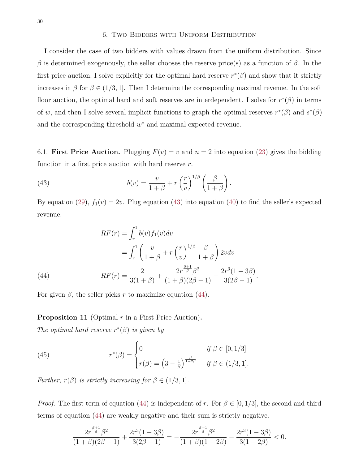#### 6. Two Bidders with Uniform Distribution

<span id="page-30-0"></span>I consider the case of two bidders with values drawn from the uniform distribution. Since *β* is determined exogenously, the seller chooses the reserve price(s) as a function of *β*. In the first price auction, I solve explicitly for the optimal hard reserve  $r^*(\beta)$  and show that it strictly increases in  $\beta$  for  $\beta \in (1/3, 1]$ . Then I determine the corresponding maximal revenue. In the soft floor auction, the optimal hard and soft reserves are interdependent. I solve for  $r^*(\beta)$  in terms of *w*, and then I solve several implicit functions to graph the optimal reserves  $r^*(\beta)$  and  $s^*(\beta)$ and the corresponding threshold  $w^*$  and maximal expected revenue.

<span id="page-30-1"></span>6.1. **First Price Auction.** Plugging  $F(v) = v$  and  $n = 2$  into equation [\(23\)](#page-19-1) gives the bidding function in a first price auction with hard reserve *r*.

<span id="page-30-2"></span>(43) 
$$
b(v) = \frac{v}{1+\beta} + r\left(\frac{r}{v}\right)^{1/\beta} \left(\frac{\beta}{1+\beta}\right).
$$

By equation [\(29\)](#page-21-0),  $f_1(v) = 2v$ . Plug equation [\(43\)](#page-30-2) into equation [\(40\)](#page-27-0) to find the seller's expected revenue.

(44)  
\n
$$
RF(r) = \int_{r}^{1} b(v) f_1(v) dv
$$
\n
$$
= \int_{r}^{1} \left( \frac{v}{1+\beta} + r \left( \frac{r}{v} \right)^{1/\beta} \frac{\beta}{1+\beta} \right) 2v dv
$$
\n
$$
RF(r) = \frac{2}{3(1+\beta)} + \frac{2r^{\frac{\beta+1}{\beta}} \beta^2}{(1+\beta)(2\beta-1)} + \frac{2r^3(1-3\beta)}{3(2\beta-1)}.
$$

<span id="page-30-3"></span>For given  $\beta$ , the seller picks  $r$  to maximize equation [\(44\)](#page-30-3).

**Proposition 11** (Optimal *r* in a First Price Auction)**.**

*The optimal hard reserve*  $r^*(\beta)$  *is given by* 

(45) 
$$
r^{*}(\beta) = \begin{cases} 0 & \text{if } \beta \in [0, 1/3] \\ r(\beta) = \left(3 - \frac{1}{\beta}\right)^{\frac{\beta}{1-2\beta}} & \text{if } \beta \in (1/3, 1]. \end{cases}
$$

*Further,*  $r(\beta)$  *is strictly increasing for*  $\beta \in (1/3, 1]$ *.* 

*Proof.* The first term of equation [\(44\)](#page-30-3) is independent of *r*. For  $\beta \in [0, 1/3]$ , the second and third terms of equation [\(44\)](#page-30-3) are weakly negative and their sum is strictly negative.

$$
\frac{2r^{\frac{\beta+1}{\beta}}\beta^2}{(1+\beta)(2\beta-1)}+\frac{2r^3(1-3\beta)}{3(2\beta-1)}=-\frac{2r^{\frac{\beta+1}{\beta}}\beta^2}{(1+\beta)(1-2\beta)}-\frac{2r^3(1-3\beta)}{3(1-2\beta)}<0.
$$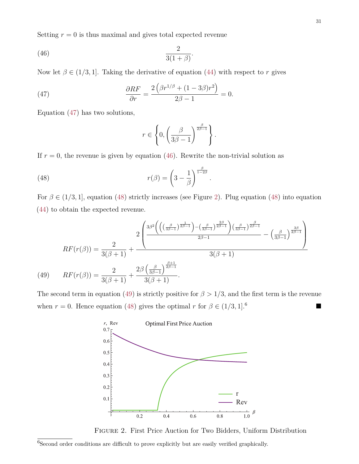Setting  $r = 0$  is thus maximal and gives total expected revenue

<span id="page-31-1"></span>
$$
\frac{2}{3(1+\beta)}.
$$

Now let  $\beta \in (1/3, 1]$ . Taking the derivative of equation [\(44\)](#page-30-3) with respect to *r* gives

<span id="page-31-0"></span>(47) 
$$
\frac{\partial RF}{\partial r} = \frac{2\left(\beta r^{1/\beta} + (1 - 3\beta)r^2\right)}{2\beta - 1} = 0.
$$

Equation [\(47\)](#page-31-0) has two solutions,

$$
r \in \left\{0, \left(\frac{\beta}{3\beta - 1}\right)^{\frac{\beta}{2\beta - 1}}\right\}.
$$

If  $r = 0$ , the revenue is given by equation [\(46\)](#page-31-1). Rewrite the non-trivial solution as

<span id="page-31-2"></span>(48) 
$$
r(\beta) = \left(3 - \frac{1}{\beta}\right)^{\frac{\beta}{1 - 2\beta}}.
$$

For  $\beta \in (1/3, 1]$ , equation [\(48\)](#page-31-2) strictly increases (see Figure [2\)](#page-31-3). Plug equation (48) into equation [\(44\)](#page-30-3) to obtain the expected revenue.

$$
RF(r(\beta)) = \frac{2}{3(\beta+1)} + \frac{2\left(\frac{3\beta^2\left(\left((\frac{\beta}{3\beta-1})^{\frac{1}{2\beta-1}}\right) - (\frac{\beta}{3\beta-1})^{\frac{2\beta}{2\beta-1}}\right)(\frac{\beta}{3\beta-1})^{\frac{\beta}{2\beta-1}}}{2\beta-1} - (\frac{\beta}{3\beta-1})^{\frac{3\beta}{2\beta-1}}\right)}{\beta(\beta+1)}
$$
\n
$$
(49) \qquad RF(r(\beta)) = \frac{2}{3(\beta+1)} + \frac{2\beta\left(\frac{\beta}{3\beta-1}\right)^{\frac{\beta+1}{2\beta-1}}}{3(\beta+1)}.
$$

<span id="page-31-4"></span>The second term in equation [\(49\)](#page-31-4) is strictly positive for  $\beta > 1/3$ , and the first term is the revenue when  $r = 0$ . Hence equation [\(48\)](#page-31-2) gives the optimal  $r$  for  $\beta \in (1/3, 1]$ .<sup>6</sup>  $6 \quad$ 



<span id="page-31-3"></span>Figure 2. First Price Auction for Two Bidders, Uniform Distribution

31

 $6$ Second order conditions are difficult to prove explicitly but are easily verified graphically.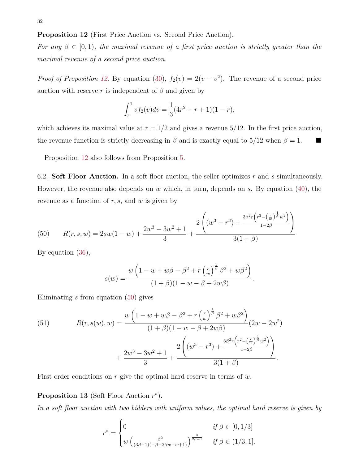<span id="page-32-1"></span>**Proposition 12** (First Price Auction vs. Second Price Auction)**.**

*For any*  $\beta \in [0,1)$ *, the maximal revenue of a first price auction is strictly greater than the maximal revenue of a second price auction.*

*Proof of Proposition [12.](#page-32-1)* By equation [\(30\)](#page-22-4),  $f_2(v) = 2(v - v^2)$ . The revenue of a second price auction with reserve *r* is independent of  $\beta$  and given by

$$
\int_r^1 v f_2(v) dv = \frac{1}{3} (4r^2 + r + 1)(1 - r),
$$

which achieves its maximal value at  $r = 1/2$  and gives a revenue  $5/12$ . In the first price auction, the revenue function is strictly decreasing in  $\beta$  and is exactly equal to 5/12 when  $\beta = 1$ .

Proposition [12](#page-32-1) also follows from Proposition [5.](#page-22-0)

<span id="page-32-0"></span>6.2. **Soft Floor Auction.** In a soft floor auction, the seller optimizes *r* and *s* simultaneously. However, the revenue also depends on *w* which, in turn, depends on *s*. By equation [\(40\)](#page-27-0), the revenue as a function of *r, s,* and *w* is given by

<span id="page-32-2"></span>(50) 
$$
R(r,s,w) = 2sw(1-w) + \frac{2w^3 - 3w^2 + 1}{3} + \frac{2\left((w^3 - r^3) + \frac{3\beta^2r\left(r^2 - \left(\frac{r}{w}\right)^{\frac{1}{\beta}}w^2\right)}{1-2\beta}\right)}{3(1+\beta)}
$$

By equation [\(36\)](#page-25-2),

$$
s(w) = \frac{w\left(1 - w + w\beta - \beta^2 + r\left(\frac{r}{w}\right)^{\frac{1}{\beta}}\beta^2 + w\beta^2\right)}{(1 + \beta)(1 - w - \beta + 2w\beta)}
$$

*.*

Eliminating *s* from equation [\(50\)](#page-32-2) gives

<span id="page-32-3"></span>(51) 
$$
R(r, s(w), w) = \frac{w\left(1 - w + w\beta - \beta^2 + r\left(\frac{r}{w}\right)^{\frac{1}{\beta}}\beta^2 + w\beta^2\right)}{(1 + \beta)(1 - w - \beta + 2w\beta)}(2w - 2w^2) + \frac{2w^3 - 3w^2 + 1}{3} + \frac{2\left((w^3 - r^3) + \frac{3\beta^2r\left(r^2 - \left(\frac{r}{w}\right)^{\frac{1}{\beta}}w^2\right)}{3(1 + \beta)}\right)}{3(1 + \beta)}.
$$

<span id="page-32-4"></span>First order conditions on *r* give the optimal hard reserve in terms of *w*.

# Proposition 13 (Soft Floor Auction  $r^*$ ).

*In a soft floor auction with two bidders with uniform values, the optimal hard reserve is given by*

$$
r^* = \begin{cases} 0 & \text{if } \beta \in [0, 1/3] \\ w \left( \frac{\beta^2}{(3\beta - 1)(-\beta + 2\beta w - w + 1)} \right)^{\frac{\beta}{2\beta - 1}} & \text{if } \beta \in (1/3, 1]. \end{cases}
$$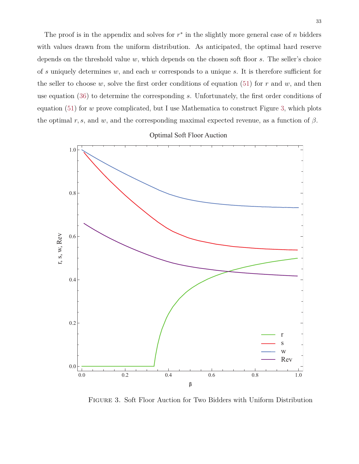The proof is in the appendix and solves for  $r^*$  in the slightly more general case of  $n$  bidders with values drawn from the uniform distribution. As anticipated, the optimal hard reserve depends on the threshold value *w*, which depends on the chosen soft floor *s*. The seller's choice of *s* uniquely determines *w*, and each *w* corresponds to a unique *s*. It is therefore sufficient for the seller to choose  $w$ , solve the first order conditions of equation [\(51\)](#page-32-3) for  $r$  and  $w$ , and then use equation [\(36\)](#page-25-2) to determine the corresponding *s*. Unfortunately, the first order conditions of equation [\(51\)](#page-32-3) for *w* prove complicated, but I use Mathematica to construct Figure [3,](#page-33-0) which plots the optimal  $r, s$ , and  $w$ , and the corresponding maximal expected revenue, as a function of  $\beta$ .

Optimal Soft Floor Auction



<span id="page-33-0"></span>Figure 3. Soft Floor Auction for Two Bidders with Uniform Distribution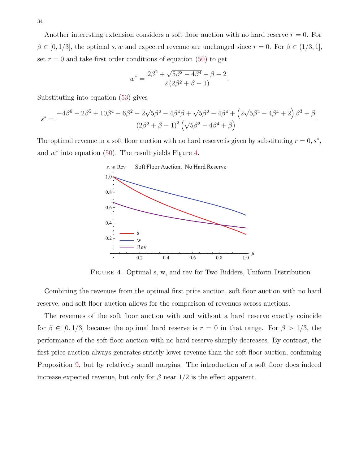Another interesting extension considers a soft floor auction with no hard reserve  $r = 0$ . For  $\beta \in [0, 1/3]$ , the optimal *s, w* and expected revenue are unchanged since  $r = 0$ . For  $\beta \in (1/3, 1]$ , set  $r = 0$  and take first order conditions of equation [\(50\)](#page-32-2) to get

$$
w^* = \frac{2\beta^2 + \sqrt{5\beta^2 - 4\beta^4} + \beta - 2}{2(2\beta^2 + \beta - 1)}.
$$

Substituting into equation [\(53\)](#page-38-1) gives

$$
s^* = \frac{-4\beta^6 - 2\beta^5 + 10\beta^4 - 6\beta^2 - 2\sqrt{5\beta^2 - 4\beta^4}\beta + \sqrt{5\beta^2 - 4\beta^4} + (2\sqrt{5\beta^2 - 4\beta^4} + 2\beta^3 + \beta}{(2\beta^2 + \beta - 1)^2(\sqrt{5\beta^2 - 4\beta^4} + \beta)}.
$$

The optimal revenue in a soft floor auction with no hard reserve is given by substituting  $r = 0, s^*$ , and  $w^*$  into equation [\(50\)](#page-32-2). The result yields Figure [4.](#page-34-0)



<span id="page-34-0"></span>Figure 4. Optimal s, w, and rev for Two Bidders, Uniform Distribution

Combining the revenues from the optimal first price auction, soft floor auction with no hard reserve, and soft floor auction allows for the comparison of revenues across auctions.

The revenues of the soft floor auction with and without a hard reserve exactly coincide for  $\beta \in [0, 1/3]$  because the optimal hard reserve is  $r = 0$  in that range. For  $\beta > 1/3$ , the performance of the soft floor auction with no hard reserve sharply decreases. By contrast, the first price auction always generates strictly lower revenue than the soft floor auction, confirming Proposition [9,](#page-28-0) but by relatively small margins. The introduction of a soft floor does indeed increase expected revenue, but only for  $\beta$  near  $1/2$  is the effect apparent.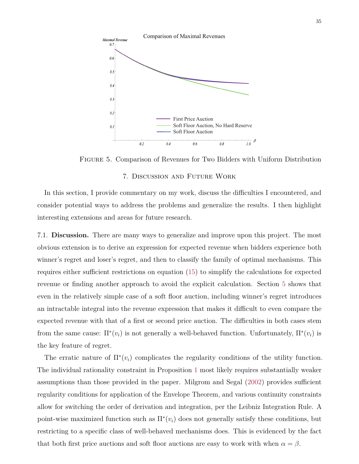

Figure 5. Comparison of Revenues for Two Bidders with Uniform Distribution

#### 7. Discussion and Future Work

<span id="page-35-0"></span>In this section, I provide commentary on my work, discuss the difficulties I encountered, and consider potential ways to address the problems and generalize the results. I then highlight interesting extensions and areas for future research.

<span id="page-35-1"></span>7.1. **Discussion.** There are many ways to generalize and improve upon this project. The most obvious extension is to derive an expression for expected revenue when bidders experience both winner's regret and loser's regret, and then to classify the family of optimal mechanisms. This requires either sufficient restrictions on equation [\(15\)](#page-13-0) to simplify the calculations for expected revenue or finding another approach to avoid the explicit calculation. Section [5](#page-18-0) shows that even in the relatively simple case of a soft floor auction, including winner's regret introduces an intractable integral into the revenue expression that makes it difficult to even compare the expected revenue with that of a first or second price auction. The difficulties in both cases stem from the same cause:  $\Pi^*(v_i)$  is not generally a well-behaved function. Unfortunately,  $\Pi^*(v_i)$  is the key feature of regret.

The erratic nature of  $\Pi^*(v_i)$  complicates the regularity conditions of the utility function. The individual rationality constraint in Proposition [1](#page-7-1) most likely requires substantially weaker assumptions than those provided in the paper. Milgrom and Segal [\(2002\)](#page-43-13) provides sufficient regularity conditions for application of the Envelope Theorem, and various continuity constraints allow for switching the order of derivation and integration, per the Leibniz Integration Rule. A point-wise maximized function such as  $\Pi^*(v_i)$  does not generally satisfy these conditions, but restricting to a specific class of well-behaved mechanisms does. This is evidenced by the fact that both first price auctions and soft floor auctions are easy to work with when  $\alpha = \beta$ .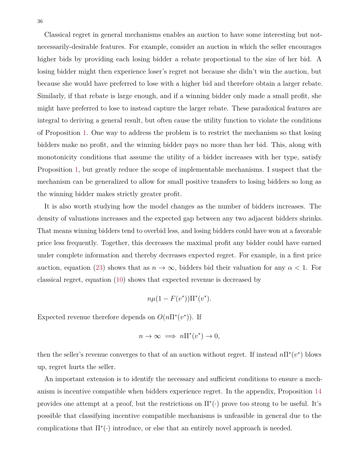Classical regret in general mechanisms enables an auction to have some interesting but notnecessarily-desirable features. For example, consider an auction in which the seller encourages higher bids by providing each losing bidder a rebate proportional to the size of her bid. A losing bidder might then experience loser's regret not because she didn't win the auction, but because she would have preferred to lose with a higher bid and therefore obtain a larger rebate. Similarly, if that rebate is large enough, and if a winning bidder only made a small profit, she might have preferred to lose to instead capture the larger rebate. These paradoxical features are integral to deriving a general result, but often cause the utility function to violate the conditions of Proposition [1.](#page-7-1) One way to address the problem is to restrict the mechanism so that losing bidders make no profit, and the winning bidder pays no more than her bid. This, along with monotonicity conditions that assume the utility of a bidder increases with her type, satisfy Proposition [1,](#page-7-1) but greatly reduce the scope of implementable mechanisms. I suspect that the mechanism can be generalized to allow for small positive transfers to losing bidders so long as the winning bidder makes strictly greater profit.

It is also worth studying how the model changes as the number of bidders increases. The density of valuations increases and the expected gap between any two adjacent bidders shrinks. That means winning bidders tend to overbid less, and losing bidders could have won at a favorable price less frequently. Together, this decreases the maximal profit any bidder could have earned under complete information and thereby decreases expected regret. For example, in a first price auction, equation [\(23\)](#page-19-1) shows that as  $n \to \infty$ , bidders bid their valuation for any  $\alpha < 1$ . For classical regret, equation [\(10\)](#page-10-2) shows that expected revenue is decreased by

$$
n\mu(1 - F(v^*))\Pi^*(v^*).
$$

Expected revenue therefore depends on  $O(n\Pi^*(v^*))$ . If

$$
n \to \infty \implies n\Pi^*(v^*) \to 0,
$$

then the seller's revenue converges to that of an auction without regret. If instead  $n\prod^*(v^*)$  blows up, regret hurts the seller.

An important extension is to identify the necessary and sufficient conditions to ensure a mechanism is incentive compatible when bidders experience regret. In the appendix, Proposition [14](#page-39-0) provides one attempt at a proof, but the restrictions on  $\Pi^*(\cdot)$  prove too strong to be useful. It's possible that classifying incentive compatible mechanisms is unfeasible in general due to the complications that  $\Pi^*(\cdot)$  introduce, or else that an entirely novel approach is needed.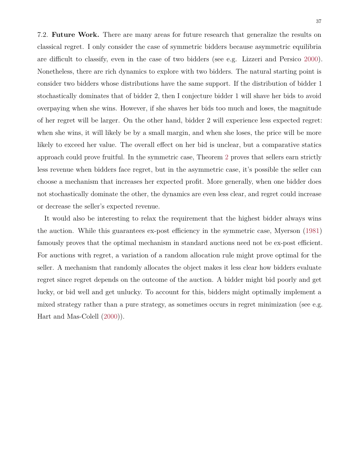<span id="page-37-0"></span>7.2. **Future Work.** There are many areas for future research that generalize the results on classical regret. I only consider the case of symmetric bidders because asymmetric equilibria are difficult to classify, even in the case of two bidders (see e.g. Lizzeri and Persico [2000\)](#page-42-11). Nonetheless, there are rich dynamics to explore with two bidders. The natural starting point is consider two bidders whose distributions have the same support. If the distribution of bidder 1 stochastically dominates that of bidder 2, then I conjecture bidder 1 will shave her bids to avoid overpaying when she wins. However, if she shaves her bids too much and loses, the magnitude of her regret will be larger. On the other hand, bidder 2 will experience less expected regret: when she wins, it will likely be by a small margin, and when she loses, the price will be more likely to exceed her value. The overall effect on her bid is unclear, but a comparative statics approach could prove fruitful. In the symmetric case, Theorem [2](#page-9-0) proves that sellers earn strictly less revenue when bidders face regret, but in the asymmetric case, it's possible the seller can choose a mechanism that increases her expected profit. More generally, when one bidder does not stochastically dominate the other, the dynamics are even less clear, and regret could increase or decrease the seller's expected revenue.

It would also be interesting to relax the requirement that the highest bidder always wins the auction. While this guarantees ex-post efficiency in the symmetric case, Myerson [\(1981\)](#page-43-1) famously proves that the optimal mechanism in standard auctions need not be ex-post efficient. For auctions with regret, a variation of a random allocation rule might prove optimal for the seller. A mechanism that randomly allocates the object makes it less clear how bidders evaluate regret since regret depends on the outcome of the auction. A bidder might bid poorly and get lucky, or bid well and get unlucky. To account for this, bidders might optimally implement a mixed strategy rather than a pure strategy, as sometimes occurs in regret minimization (see e.g. Hart and Mas-Colell [\(2000\)](#page-42-8)).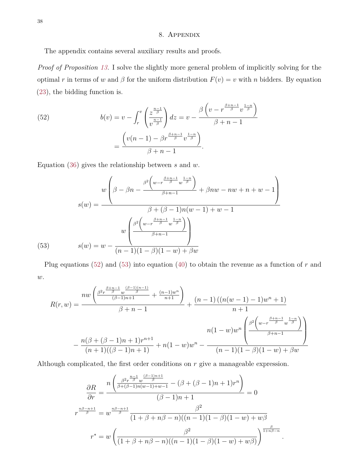# 8. Appendix

<span id="page-38-0"></span>The appendix contains several auxiliary results and proofs.

*Proof of Proposition [13.](#page-32-4)* I solve the slightly more general problem of implicitly solving for the optimal *r* in terms of *w* and  $\beta$  for the uniform distribution  $F(v) = v$  with *n* bidders. By equation [\(23\)](#page-19-1), the bidding function is.

<span id="page-38-2"></span>(52) 
$$
b(v) = v - \int_r^v \left(\frac{z^{\frac{n-1}{\beta}}}{v^{\frac{n-1}{\beta}}}\right) dz = v - \frac{\beta \left(v - r^{\frac{\beta + n - 1}{\beta}} v^{\frac{1 - n}{\beta}}\right)}{\beta + n - 1} = \frac{\left(v(n-1) - \beta r^{\frac{\beta + n - 1}{\beta}} v^{\frac{1 - n}{\beta}}\right)}{\beta + n - 1}.
$$

Equation [\(36\)](#page-25-2) gives the relationship between *s* and *w*.

(53) 
$$
w \left(\beta - \beta n - \frac{\beta^2 \left(w - r^{\frac{\beta + n - 1}{\beta}} w^{\frac{1 - n}{\beta}}\right)}{\beta + (1 - \beta)n} + \beta n w - n w + n + w - 1\right)
$$

$$
w \left(\frac{\beta^2 \left(w - r^{\frac{\beta + n - 1}{\beta}} w^{\frac{1 - n}{\beta}}\right)}{\beta + n - 1}\right)
$$

$$
s(w) = w - \frac{w \left(\frac{\beta^2 \left(w - r^{\frac{\beta + n - 1}{\beta}} w^{\frac{1 - n}{\beta}}\right)}{\beta + n - 1}\right)}{\left(n - 1\right)\left(1 - \beta\right)\left(1 - w\right) + \beta w}
$$

<span id="page-38-1"></span>Plug equations [\(52\)](#page-38-2) and [\(53\)](#page-38-1) into equation [\(40\)](#page-27-0) to obtain the revenue as a function of *r* and *w*.

$$
R(r, w) = \frac{nw\left(\frac{\beta^{2}r^{\frac{\beta+n-1}{\beta}}w^{\frac{(\beta-1)(n-1)}{\beta}}}{(\beta-1)n+1} + \frac{(n-1)w^{n}}{n+1}\right)}{\beta+n-1} + \frac{(n-1)\left((n(w-1)-1)w^{n}+1\right)}{n+1}
$$

$$
- \frac{n(\beta+(\beta-1)n+1)r^{n+1}}{(n+1)((\beta-1)n+1)} + n(1-w)w^{n} - \frac{n(1-w)w^{n}\left(\frac{\beta^{2}\left(w-r^{\frac{\beta+n-1}{\beta}}w^{\frac{1-n}{\beta}}\right)}{\beta+n-1}\right)}{(n-1)(1-\beta)(1-w)+\beta w}
$$

Although complicated, the first order conditions on *r* give a manageable expression.

$$
\frac{\partial R}{\partial r} = \frac{n \left( \frac{\beta^2 r^{\frac{n-1}{\beta}} w^{\frac{(\beta-1)n+1}{\beta}}}{\beta + (\beta-1)n(w-1) + w - 1} - (\beta + (\beta - 1)n + 1)r^n \right)}{(\beta - 1)n + 1} = 0
$$
  

$$
r^{\frac{n\beta - n + 1}{\beta}} = w^{\frac{n\beta - n + 1}{\beta}} \frac{\beta^2}{(1 + \beta + n\beta - n)((n - 1)(1 - \beta)(1 - w) + w\beta)}
$$
  

$$
r^* = w \left( \frac{\beta^2}{(1 + \beta + n\beta - n)((n - 1)(1 - \beta)(1 - w) + w\beta)} \right)^{\frac{\beta}{1 + n\beta - n}}
$$

*.*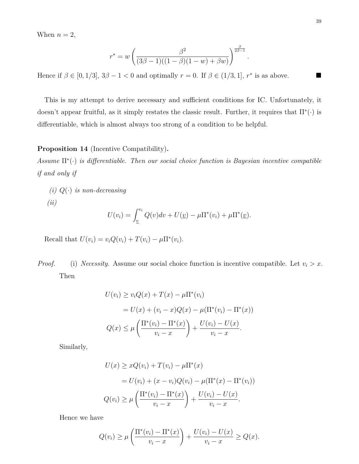When  $n = 2$ ,

$$
r^* = w \left( \frac{\beta^2}{(3\beta - 1)((1 - \beta)(1 - w) + \beta w)} \right)^{\frac{\beta}{2\beta - 1}}
$$

*.*

Hence if  $\beta \in [0, 1/3], 3\beta - 1 < 0$  and optimally  $r = 0$ . If  $\beta \in (1/3, 1], r^*$  is as above.

This is my attempt to derive necessary and sufficient conditions for IC. Unfortunately, it doesn't appear fruitful, as it simply restates the classic result. Further, it requires that  $\Pi^*(\cdot)$  is differentiable, which is almost always too strong of a condition to be helpful.

#### <span id="page-39-0"></span>**Proposition 14** (Incentive Compatibility)**.**

*Assume* Π<sup>\*</sup>(·) *is differentiable. Then our social choice function is Bayesian incentive compatible if and only if*

*(i)*  $Q(\cdot)$  *is non-decreasing (ii)*

$$
U(v_i) = \int_{\underline{v}}^{v_i} Q(v) dv + U(\underline{v}) - \mu \Pi^*(v_i) + \mu \Pi^*(\underline{v}).
$$

Recall that  $U(v_i) = v_i Q(v_i) + T(v_i) - \mu \Pi^*(v_i)$ .

*Proof.* (i) *Necessity.* Assume our social choice function is incentive compatible. Let  $v_i > x$ . Then

$$
U(v_i) \ge v_i Q(x) + T(x) - \mu \Pi^*(v_i)
$$
  
=  $U(x) + (v_i - x)Q(x) - \mu(\Pi^*(v_i) - \Pi^*(x))$   
 $Q(x) \le \mu \left( \frac{\Pi^*(v_i) - \Pi^*(x)}{v_i - x} \right) + \frac{U(v_i) - U(x)}{v_i - x}.$ 

Similarly,

$$
U(x) \ge xQ(v_i) + T(v_i) - \mu \Pi^*(x)
$$
  
=  $U(v_i) + (x - v_i)Q(v_i) - \mu(\Pi^*(x) - \Pi^*(v_i))$   
 $Q(v_i) \ge \mu\left(\frac{\Pi^*(v_i) - \Pi^*(x)}{v_i - x}\right) + \frac{U(v_i) - U(x)}{v_i - x}.$ 

Hence we have

$$
Q(v_i) \ge \mu \left( \frac{\Pi^*(v_i) - \Pi^*(x)}{v_i - x} \right) + \frac{U(v_i) - U(x)}{v_i - x} \ge Q(x).
$$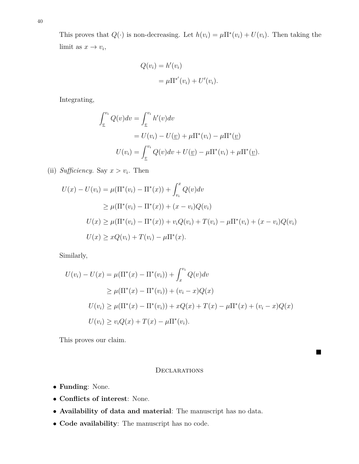This proves that  $Q(\cdot)$  is non-decreasing. Let  $h(v_i) = \mu \Pi^*(v_i) + U(v_i)$ . Then taking the limit as  $x \to v_i$ ,

$$
Q(v_i) = h'(v_i)
$$
  
=  $\mu \Pi^{*'}(v_i) + U'(v_i).$ 

Integrating,

$$
\int_{\underline{v}}^{v_i} Q(v) dv = \int_{\underline{v}}^{v_i} h'(v) dv
$$
  
=  $U(v_i) - U(\underline{v}) + \mu \Pi^*(v_i) - \mu \Pi^*(\underline{v})$   

$$
U(v_i) = \int_{\underline{v}}^{v_i} Q(v) dv + U(\underline{v}) - \mu \Pi^*(v_i) + \mu \Pi^*(\underline{v}).
$$

(ii) *Sufficiency*. Say  $x > v_i$ . Then

$$
U(x) - U(v_i) = \mu(\Pi^*(v_i) - \Pi^*(x)) + \int_{v_i}^x Q(v)dv
$$
  
\n
$$
\geq \mu(\Pi^*(v_i) - \Pi^*(x)) + (x - v_i)Q(v_i)
$$
  
\n
$$
U(x) \geq \mu(\Pi^*(v_i) - \Pi^*(x)) + v_iQ(v_i) + T(v_i) - \mu\Pi^*(v_i) + (x - v_i)Q(v_i)
$$
  
\n
$$
U(x) \geq xQ(v_i) + T(v_i) - \mu\Pi^*(x).
$$

Similarly,

$$
U(v_i) - U(x) = \mu(\Pi^*(x) - \Pi^*(v_i)) + \int_x^{v_i} Q(v)dv
$$
  
\n
$$
\geq \mu(\Pi^*(x) - \Pi^*(v_i)) + (v_i - x)Q(x)
$$
  
\n
$$
U(v_i) \geq \mu(\Pi^*(x) - \Pi^*(v_i)) + xQ(x) + T(x) - \mu\Pi^*(x) + (v_i - x)Q(x)
$$
  
\n
$$
U(v_i) \geq v_iQ(x) + T(x) - \mu\Pi^*(v_i).
$$

This proves our claim.

# <span id="page-40-0"></span>**DECLARATIONS**

■

- **Funding**: None.
- **Conflicts of interest**: None.
- **Availability of data and material**: The manuscript has no data.
- **Code availability**: The manuscript has no code.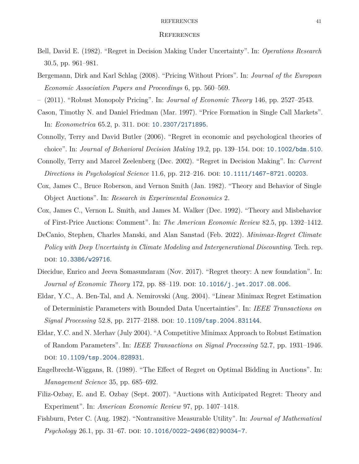#### <span id="page-41-0"></span>REFERENCES 41

#### **REFERENCES**

- <span id="page-41-5"></span>Bell, David E. (1982). "Regret in Decision Making Under Uncertainty". In: *Operations Research* 30.5, pp. 961–981.
- <span id="page-41-10"></span>Bergemann, Dirk and Karl Schlag (2008). "Pricing Without Priors". In: *Journal of the European Economic Association Papers and Proceedings* 6, pp. 560–569.
- <span id="page-41-11"></span>– (2011). "Robust Monopoly Pricing". In: *Journal of Economic Theory* 146, pp. 2527–2543.
- <span id="page-41-15"></span>Cason, Timothy N. and Daniel Friedman (Mar. 1997). "Price Formation in Single Call Markets". In: *Econometrica* 65.2, p. 311. DOI: [10.2307/2171895](https://doi.org/10.2307/2171895).
- <span id="page-41-8"></span>Connolly, Terry and David Butler (2006). "Regret in economic and psychological theories of choice". In: *Journal of Behavioral Decision Making* 19.2, pp. 139–154. DOI: [10.1002/bdm.510](https://doi.org/10.1002/bdm.510).
- <span id="page-41-7"></span>Connolly, Terry and Marcel Zeelenberg (Dec. 2002). "Regret in Decision Making". In: *Current Directions in Psychological Science* 11.6, pp. 212–216. DOI: [10.1111/1467-8721.00203](https://doi.org/10.1111/1467-8721.00203).
- <span id="page-41-2"></span>Cox, James C., Bruce Roberson, and Vernon Smith (Jan. 1982). "Theory and Behavior of Single Object Auctions". In: *Research in Experimental Economics* 2.
- <span id="page-41-3"></span>Cox, James C., Vernon L. Smith, and James M. Walker (Dec. 1992). "Theory and Misbehavior of First-Price Auctions: Comment". In: *The American Economic Review* 82.5, pp. 1392–1412.
- <span id="page-41-14"></span>DeCanio, Stephen, Charles Manski, and Alan Sanstad (Feb. 2022). *Minimax-Regret Climate Policy with Deep Uncertainty in Climate Modeling and Intergenerational Discounting*. Tech. rep. doi: [10.3386/w29716](https://doi.org/10.3386/w29716).
- <span id="page-41-9"></span>Diecidue, Enrico and Jeeva Somasundaram (Nov. 2017). "Regret theory: A new foundation". In: *Journal of Economic Theory* 172, pp. 88-119. DOI: [10.1016/j.jet.2017.08.006](https://doi.org/10.1016/j.jet.2017.08.006).
- <span id="page-41-12"></span>Eldar, Y.C., A. Ben-Tal, and A. Nemirovski (Aug. 2004). "Linear Minimax Regret Estimation of Deterministic Parameters with Bounded Data Uncertainties". In: *IEEE Transactions on Signal Processing* 52.8, pp. 2177-2188. DOI: [10.1109/tsp.2004.831144](https://doi.org/10.1109/tsp.2004.831144).
- <span id="page-41-13"></span>Eldar, Y.C. and N. Merhav (July 2004). "A Competitive Minimax Approach to Robust Estimation of Random Parameters". In: *IEEE Transactions on Signal Processing* 52.7, pp. 1931–1946. doi: [10.1109/tsp.2004.828931](https://doi.org/10.1109/tsp.2004.828931).
- <span id="page-41-1"></span>Engelbrecht-Wiggans, R. (1989). "The Effect of Regret on Optimal Bidding in Auctions". In: *Management Science* 35, pp. 685–692.
- <span id="page-41-4"></span>Filiz-Ozbay, E. and E. Ozbay (Sept. 2007). "Auctions with Anticipated Regret: Theory and Experiment". In: *American Economic Review* 97, pp. 1407–1418.
- <span id="page-41-6"></span>Fishburn, Peter C. (Aug. 1982). "Nontransitive Measurable Utility". In: *Journal of Mathematical Psychology* 26.1, pp. 31–67. DOI: [10.1016/0022-2496\(82\)90034-7](https://doi.org/10.1016/0022-2496(82)90034-7).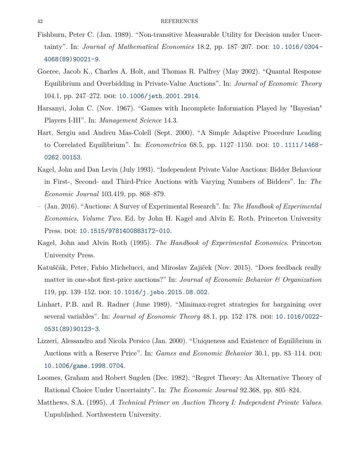- <span id="page-42-7"></span>Fishburn, Peter C. (Jan. 1989). "Non-transitive Measurable Utility for Decision under Uncertainty". In: *Journal of Mathematical Economics* 18.2, pp. 187–207. DOI: 10.1016/0304– [4068\(89\)90021-9](https://doi.org/10.1016/0304-4068(89)90021-9).
- <span id="page-42-1"></span>Goeree, Jacob K., Charles A. Holt, and Thomas R. Palfrey (May 2002). "Quantal Response Equilibrium and Overbidding in Private-Value Auctions". In: *Journal of Economic Theory* 104.1, pp. 247-272. DOI: [10.1006/jeth.2001.2914](https://doi.org/10.1006/jeth.2001.2914).
- <span id="page-42-4"></span>Harsanyi, John C. (Nov. 1967). "Games with Incomplete Information Played by "Bayesian" Players I-III". In: *Management Science* 14.3.
- <span id="page-42-8"></span>Hart, Sergiu and Andreu Mas-Colell (Sept. 2000). "A Simple Adaptive Procedure Leading to Correlated Equilibrium". In: *Econometrica* 68.5, pp. 1127-1150. DOI: 10.1111/1468-[0262.00153](https://doi.org/10.1111/1468-0262.00153).
- <span id="page-42-2"></span>Kagel, John and Dan Levin (July 1993). "Independent Private Value Auctions: Bidder Behaviour in First-, Second- and Third-Price Auctions with Varying Numbers of Bidders". In: *The Economic Journal* 103.419, pp. 868–879.
- <span id="page-42-9"></span>– (Jan. 2016). "Auctions: A Survey of Experimental Research". In: *The Handbook of Experimental Economics, Volume Two*. Ed. by John H. Kagel and Alvin E. Roth. Princeton University Press. DOI: [10.1515/9781400883172-010](https://doi.org/10.1515/9781400883172-010).
- <span id="page-42-0"></span>Kagel, John and Alvin Roth (1995). *The Handbook of Experimental Economics*. Princeton University Press.
- <span id="page-42-5"></span>Katuščák, Peter, Fabio Michelucci, and Miroslav Zajiček (Nov. 2015). "Does feedback really matter in one-shot first-price auctions?" In: *Journal of Economic Behavior & Organization* 119, pp. 139–152. DOI: [10.1016/j.jebo.2015.08.002](https://doi.org/10.1016/j.jebo.2015.08.002).
- <span id="page-42-6"></span>Linhart, P.B. and R. Radner (June 1989). "Minimax-regret strategies for bargaining over several variables". In: *Journal of Economic Theory* 48.1, pp. 152–178. DOI: 10.1016/0022– [0531\(89\)90123-3](https://doi.org/10.1016/0022-0531(89)90123-3).
- <span id="page-42-11"></span>Lizzeri, Alessandro and Nicola Persico (Jan. 2000). "Uniqueness and Existence of Equilibrium in Auctions with a Reserve Price". In: *Games and Economic Behavior* 30.1, pp. 83–114. DOI: [10.1006/game.1998.0704](https://doi.org/10.1006/game.1998.0704).
- <span id="page-42-3"></span>Loomes, Graham and Robert Sugden (Dec. 1982). "Regret Theory: An Alternative Theory of Rational Choice Under Uncertainty". In: *The Economic Journal* 92.368, pp. 805–824.
- <span id="page-42-10"></span>Matthews, S.A. (1995). *A Technical Primer on Auction Theory I: Independent Private Values*. Unpublished. Northwestern University.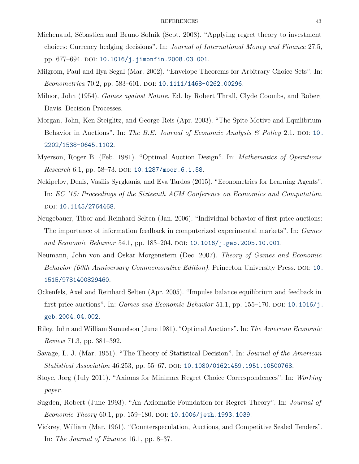- <span id="page-43-9"></span>Michenaud, Sébastien and Bruno Solnik (Sept. 2008). "Applying regret theory to investment choices: Currency hedging decisions". In: *Journal of International Money and Finance* 27.5, pp. 677-694. DOI: [10.1016/j.jimonfin.2008.03.001](https://doi.org/10.1016/j.jimonfin.2008.03.001).
- <span id="page-43-13"></span>Milgrom, Paul and Ilya Segal (Mar. 2002). "Envelope Theorems for Arbitrary Choice Sets". In: *Econometrica* 70.2, pp. 583-601. DOI: [10.1111/1468-0262.00296](https://doi.org/10.1111/1468-0262.00296).
- <span id="page-43-6"></span>Milnor, John (1954). *Games against Nature*. Ed. by Robert Thrall, Clyde Coombs, and Robert Davis. Decision Processes.
- <span id="page-43-2"></span>Morgan, John, Ken Steiglitz, and George Reis (Apr. 2003). "The Spite Motive and Equilibrium Behavior in Auctions". In: *The B.E. Journal of Economic Analysis & Policy* 2.1. DOI: [10.](https://doi.org/10.2202/1538-0645.1102) [2202/1538-0645.1102](https://doi.org/10.2202/1538-0645.1102).
- <span id="page-43-1"></span>Myerson, Roger B. (Feb. 1981). "Optimal Auction Design". In: *Mathematics of Operations Research* 6.1, pp. 58–73. DOI: [10.1287/moor.6.1.58](https://doi.org/10.1287/moor.6.1.58).
- <span id="page-43-10"></span>Nekipelov, Denis, Vasilis Syrgkanis, and Eva Tardos (2015). "Econometrics for Learning Agents". In: *EC '15: Proceedings of the Sixteenth ACM Conference on Economics and Computation*. DOI: [10.1145/2764468](https://doi.org/10.1145/2764468).
- <span id="page-43-11"></span>Neugebauer, Tibor and Reinhard Selten (Jan. 2006). "Individual behavior of first-price auctions: The importance of information feedback in computerized experimental markets". In: *Games and Economic Behavior* 54.1, pp. 183–204. DOI: [10.1016/j.geb.2005.10.001](https://doi.org/10.1016/j.geb.2005.10.001).
- <span id="page-43-5"></span>Neumann, John von and Oskar Morgenstern (Dec. 2007). *Theory of Games and Economic Behavior (60th Anniversary Commemorative Edition)*. Princeton University Press. DOI: [10.](https://doi.org/10.1515/9781400829460) [1515/9781400829460](https://doi.org/10.1515/9781400829460).
- <span id="page-43-12"></span>Ockenfels, Axel and Reinhard Selten (Apr. 2005). "Impulse balance equilibrium and feedback in first price auctions". In: *Games and Economic Behavior* 51.1, pp. 155–170. DOI: [10.1016/j.](https://doi.org/10.1016/j.geb.2004.04.002) [geb.2004.04.002](https://doi.org/10.1016/j.geb.2004.04.002).
- <span id="page-43-4"></span>Riley, John and William Samuelson (June 1981). "Optimal Auctions". In: *The American Economic Review* 71.3, pp. 381–392.
- <span id="page-43-3"></span>Savage, L. J. (Mar. 1951). "The Theory of Statistical Decision". In: *Journal of the American Statistical Association* 46.253, pp. 55–67. DOI: [10.1080/01621459.1951.10500768](https://doi.org/10.1080/01621459.1951.10500768).
- <span id="page-43-7"></span>Stoye, Jorg (July 2011). "Axioms for Minimax Regret Choice Correspondences". In: *Working paper*.
- <span id="page-43-8"></span>Sugden, Robert (June 1993). "An Axiomatic Foundation for Regret Theory". In: *Journal of Economic Theory* 60.1, pp. 159–180. DOI: [10.1006/jeth.1993.1039](https://doi.org/10.1006/jeth.1993.1039).
- <span id="page-43-0"></span>Vickrey, William (Mar. 1961). "Counterspeculation, Auctions, and Competitive Sealed Tenders". In: *The Journal of Finance* 16.1, pp. 8–37.